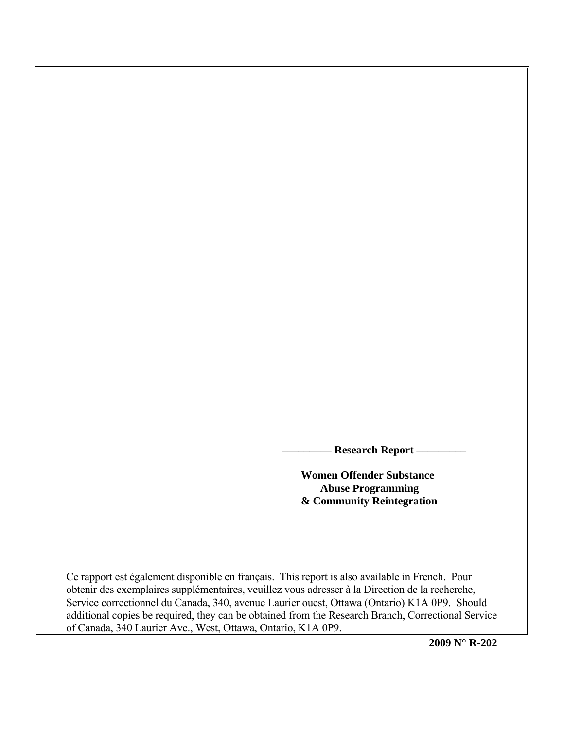**Research Report -**

 **Women Offender Substance Abuse Programming & Community Reintegration** 

Ce rapport est également disponible en français. This report is also available in French. Pour obtenir des exemplaires supplémentaires, veuillez vous adresser à la Direction de la recherche, Service correctionnel du Canada, 340, avenue Laurier ouest, Ottawa (Ontario) K1A 0P9. Should additional copies be required, they can be obtained from the Research Branch, Correctional Service of Canada, 340 Laurier Ave., West, Ottawa, Ontario, K1A 0P9.

**2009 N° R-202**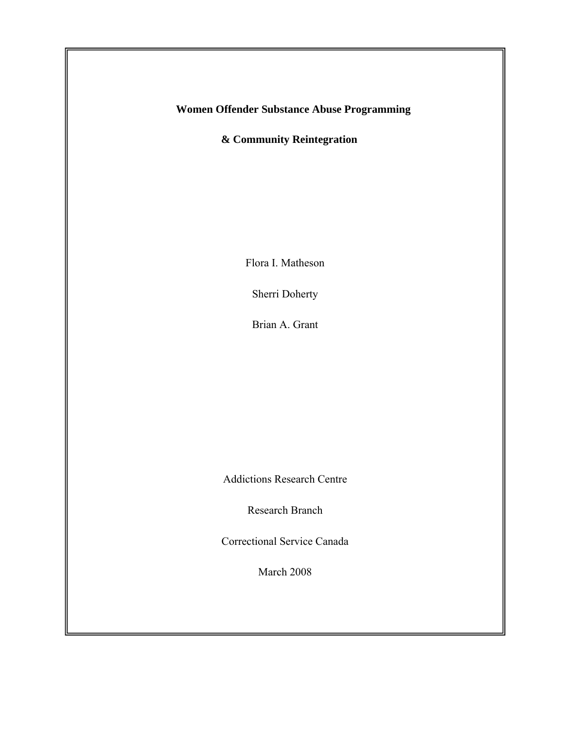**Women Offender Substance Abuse Programming** 

 **& Community Reintegration** 

Flora I. Matheson

Sherri Doherty

Brian A. Grant

Addictions Research Centre

Research Branch

Correctional Service Canada

March 2008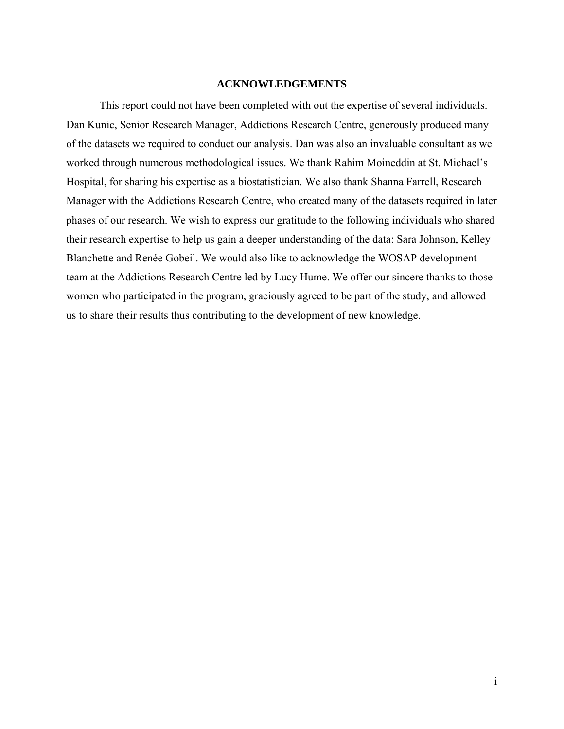## **ACKNOWLEDGEMENTS**

<span id="page-2-0"></span>This report could not have been completed with out the expertise of several individuals. Dan Kunic, Senior Research Manager, Addictions Research Centre, generously produced many of the datasets we required to conduct our analysis. Dan was also an invaluable consultant as we worked through numerous methodological issues. We thank Rahim Moineddin at St. Michael's Hospital, for sharing his expertise as a biostatistician. We also thank Shanna Farrell, Research Manager with the Addictions Research Centre, who created many of the datasets required in later phases of our research. We wish to express our gratitude to the following individuals who shared their research expertise to help us gain a deeper understanding of the data: Sara Johnson, Kelley Blanchette and Renée Gobeil. We would also like to acknowledge the WOSAP development team at the Addictions Research Centre led by Lucy Hume. We offer our sincere thanks to those women who participated in the program, graciously agreed to be part of the study, and allowed us to share their results thus contributing to the development of new knowledge.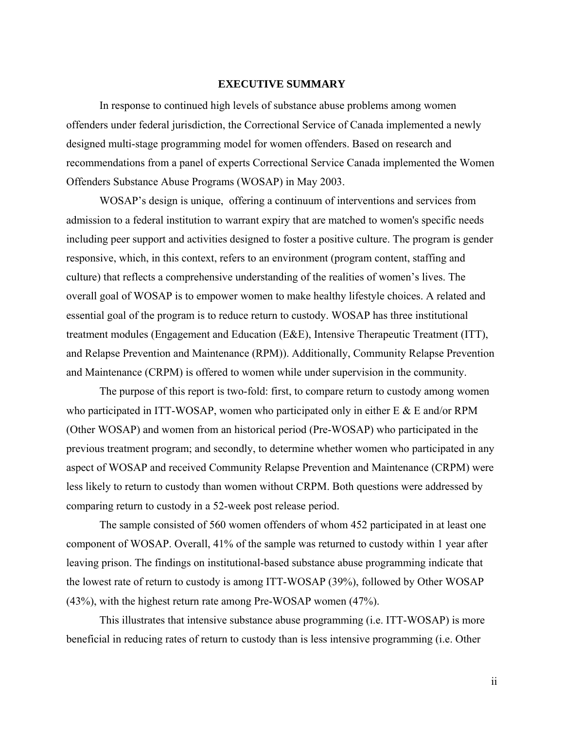#### **EXECUTIVE SUMMARY**

<span id="page-3-0"></span>In response to continued high levels of substance abuse problems among women offenders under federal jurisdiction, the Correctional Service of Canada implemented a newly designed multi-stage programming model for women offenders. Based on research and recommendations from a panel of experts Correctional Service Canada implemented the Women Offenders Substance Abuse Programs (WOSAP) in May 2003.

WOSAP's design is unique, offering a continuum of interventions and services from admission to a federal institution to warrant expiry that are matched to women's specific needs including peer support and activities designed to foster a positive culture. The program is gender responsive, which, in this context, refers to an environment (program content, staffing and culture) that reflects a comprehensive understanding of the realities of women's lives. The overall goal of WOSAP is to empower women to make healthy lifestyle choices. A related and essential goal of the program is to reduce return to custody. WOSAP has three institutional treatment modules (Engagement and Education (E&E), Intensive Therapeutic Treatment (ITT), and Relapse Prevention and Maintenance (RPM)). Additionally, Community Relapse Prevention and Maintenance (CRPM) is offered to women while under supervision in the community.

The purpose of this report is two-fold: first, to compare return to custody among women who participated in ITT-WOSAP, women who participated only in either E & E and/or RPM (Other WOSAP) and women from an historical period (Pre-WOSAP) who participated in the previous treatment program; and secondly, to determine whether women who participated in any aspect of WOSAP and received Community Relapse Prevention and Maintenance (CRPM) were less likely to return to custody than women without CRPM. Both questions were addressed by comparing return to custody in a 52-week post release period.

The sample consisted of 560 women offenders of whom 452 participated in at least one component of WOSAP. Overall, 41% of the sample was returned to custody within 1 year after leaving prison. The findings on institutional-based substance abuse programming indicate that the lowest rate of return to custody is among ITT-WOSAP (39%), followed by Other WOSAP (43%), with the highest return rate among Pre-WOSAP women (47%).

This illustrates that intensive substance abuse programming (i.e. ITT-WOSAP) is more beneficial in reducing rates of return to custody than is less intensive programming (i.e. Other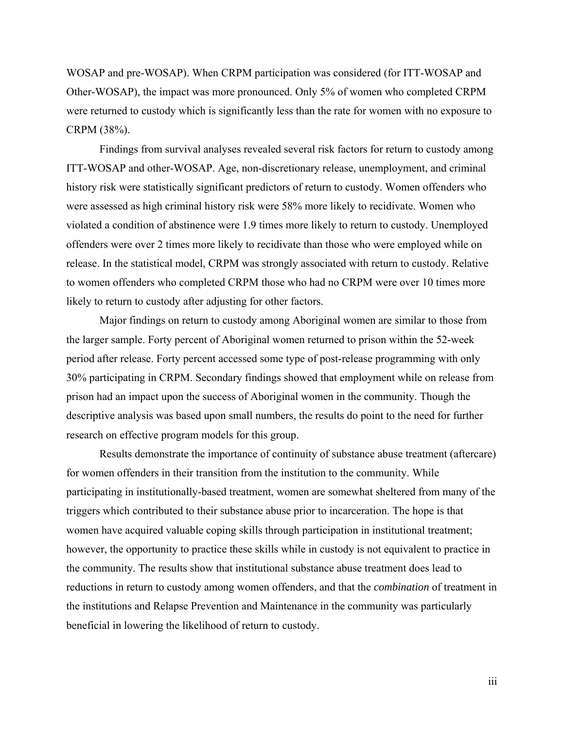WOSAP and pre-WOSAP). When CRPM participation was considered (for ITT-WOSAP and Other-WOSAP), the impact was more pronounced. Only 5% of women who completed CRPM were returned to custody which is significantly less than the rate for women with no exposure to CRPM (38%).

Findings from survival analyses revealed several risk factors for return to custody among ITT-WOSAP and other-WOSAP. Age, non-discretionary release, unemployment, and criminal history risk were statistically significant predictors of return to custody. Women offenders who were assessed as high criminal history risk were 58% more likely to recidivate. Women who violated a condition of abstinence were 1.9 times more likely to return to custody. Unemployed offenders were over 2 times more likely to recidivate than those who were employed while on release. In the statistical model, CRPM was strongly associated with return to custody. Relative to women offenders who completed CRPM those who had no CRPM were over 10 times more likely to return to custody after adjusting for other factors.

Major findings on return to custody among Aboriginal women are similar to those from the larger sample. Forty percent of Aboriginal women returned to prison within the 52-week period after release. Forty percent accessed some type of post-release programming with only 30% participating in CRPM. Secondary findings showed that employment while on release from prison had an impact upon the success of Aboriginal women in the community. Though the descriptive analysis was based upon small numbers, the results do point to the need for further research on effective program models for this group.

Results demonstrate the importance of continuity of substance abuse treatment (aftercare) for women offenders in their transition from the institution to the community. While participating in institutionally-based treatment, women are somewhat sheltered from many of the triggers which contributed to their substance abuse prior to incarceration. The hope is that women have acquired valuable coping skills through participation in institutional treatment; however, the opportunity to practice these skills while in custody is not equivalent to practice in the community. The results show that institutional substance abuse treatment does lead to reductions in return to custody among women offenders, and that the *combination* of treatment in the institutions and Relapse Prevention and Maintenance in the community was particularly beneficial in lowering the likelihood of return to custody.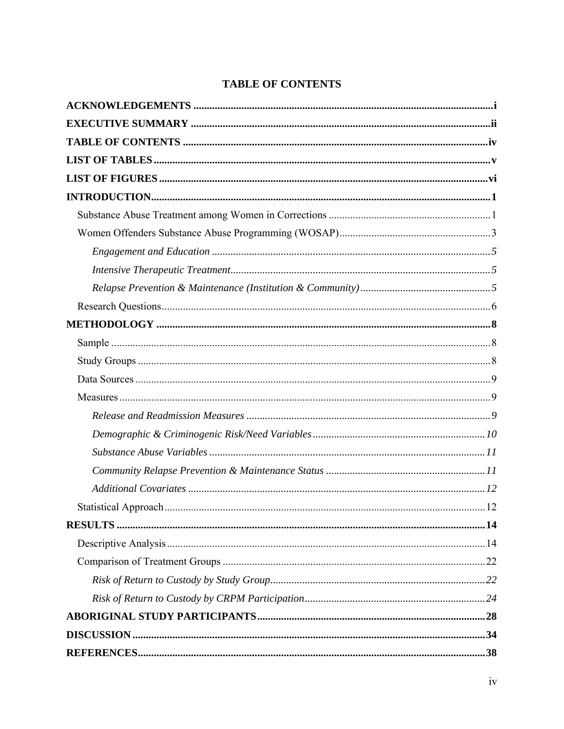# **TABLE OF CONTENTS**

<span id="page-5-0"></span>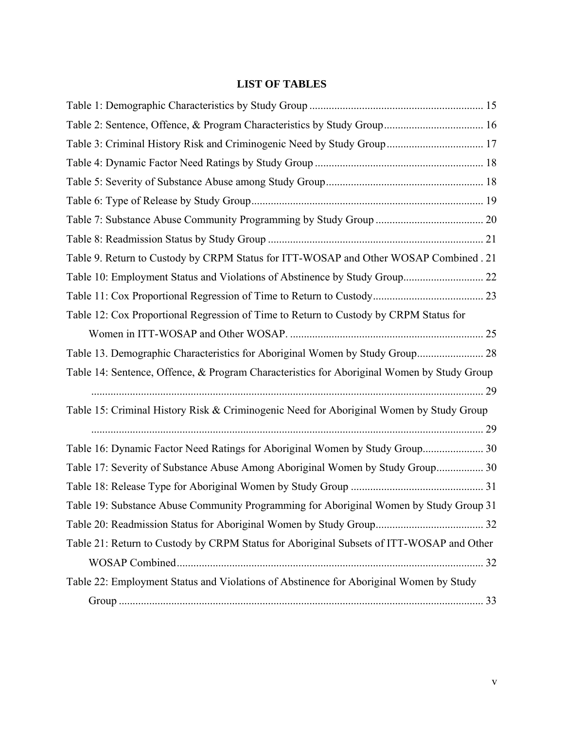# **LIST OF TABLES**

<span id="page-6-0"></span>

| Table 3: Criminal History Risk and Criminogenic Need by Study Group 17                     |  |
|--------------------------------------------------------------------------------------------|--|
|                                                                                            |  |
|                                                                                            |  |
|                                                                                            |  |
|                                                                                            |  |
|                                                                                            |  |
| Table 9. Return to Custody by CRPM Status for ITT-WOSAP and Other WOSAP Combined . 21      |  |
|                                                                                            |  |
|                                                                                            |  |
| Table 12: Cox Proportional Regression of Time to Return to Custody by CRPM Status for      |  |
|                                                                                            |  |
| Table 13. Demographic Characteristics for Aboriginal Women by Study Group 28               |  |
| Table 14: Sentence, Offence, & Program Characteristics for Aboriginal Women by Study Group |  |
|                                                                                            |  |
| Table 15: Criminal History Risk & Criminogenic Need for Aboriginal Women by Study Group    |  |
|                                                                                            |  |
| Table 16: Dynamic Factor Need Ratings for Aboriginal Women by Study Group 30               |  |
| Table 17: Severity of Substance Abuse Among Aboriginal Women by Study Group 30             |  |
|                                                                                            |  |
| Table 19: Substance Abuse Community Programming for Aboriginal Women by Study Group 31     |  |
|                                                                                            |  |
| Table 21: Return to Custody by CRPM Status for Aboriginal Subsets of ITT-WOSAP and Other   |  |
|                                                                                            |  |
| Table 22: Employment Status and Violations of Abstinence for Aboriginal Women by Study     |  |
|                                                                                            |  |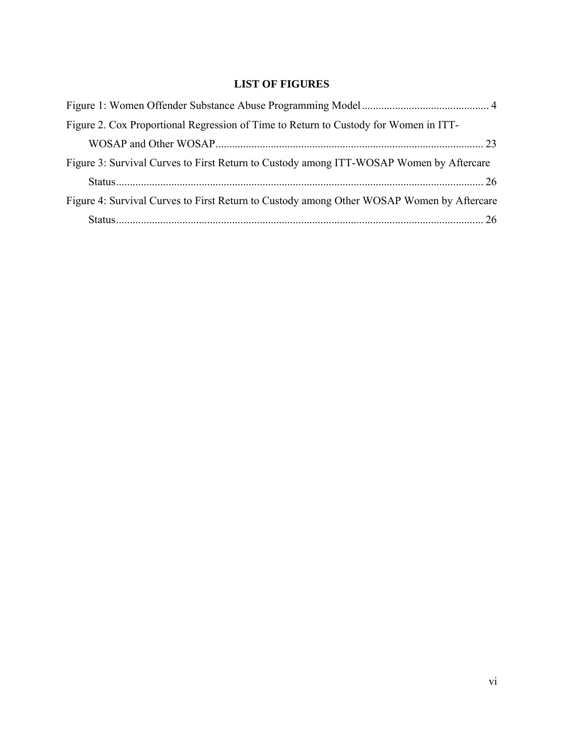# **LIST OF FIGURES**

<span id="page-7-0"></span>

| Figure 2. Cox Proportional Regression of Time to Return to Custody for Women in ITT-      |  |
|-------------------------------------------------------------------------------------------|--|
|                                                                                           |  |
| Figure 3: Survival Curves to First Return to Custody among ITT-WOSAP Women by Aftercare   |  |
|                                                                                           |  |
| Figure 4: Survival Curves to First Return to Custody among Other WOSAP Women by Aftercare |  |
|                                                                                           |  |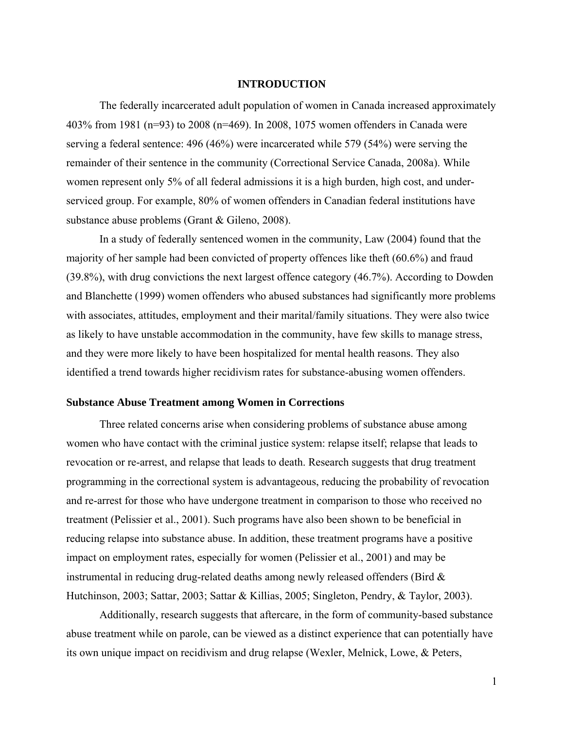## **INTRODUCTION**

<span id="page-8-0"></span>The federally incarcerated adult population of women in Canada increased approximately 403% from 1981 (n=93) to 2008 (n=469). In 2008, 1075 women offenders in Canada were serving a federal sentence: 496 (46%) were incarcerated while 579 (54%) were serving the remainder of their sentence in the community (Correctional Service Canada, 2008a). While women represent only 5% of all federal admissions it is a high burden, high cost, and underserviced group. For example, 80% of women offenders in Canadian federal institutions have substance abuse problems (Grant & Gileno, 2008).

In a study of federally sentenced women in the community, Law (2004) found that the majority of her sample had been convicted of property offences like theft (60.6%) and fraud (39.8%), with drug convictions the next largest offence category (46.7%). According to Dowden and Blanchette (1999) women offenders who abused substances had significantly more problems with associates, attitudes, employment and their marital/family situations. They were also twice as likely to have unstable accommodation in the community, have few skills to manage stress, and they were more likely to have been hospitalized for mental health reasons. They also identified a trend towards higher recidivism rates for substance-abusing women offenders.

#### **Substance Abuse Treatment among Women in Corrections**

Three related concerns arise when considering problems of substance abuse among women who have contact with the criminal justice system: relapse itself; relapse that leads to revocation or re-arrest, and relapse that leads to death. Research suggests that drug treatment programming in the correctional system is advantageous, reducing the probability of revocation and re-arrest for those who have undergone treatment in comparison to those who received no treatment (Pelissier et al., 2001). Such programs have also been shown to be beneficial in reducing relapse into substance abuse. In addition, these treatment programs have a positive impact on employment rates, especially for women (Pelissier et al., 2001) and may be instrumental in reducing drug-related deaths among newly released offenders (Bird & Hutchinson, 2003; Sattar, 2003; Sattar & Killias, 2005; Singleton, Pendry, & Taylor, 2003).

Additionally, research suggests that aftercare, in the form of community-based substance abuse treatment while on parole, can be viewed as a distinct experience that can potentially have its own unique impact on recidivism and drug relapse (Wexler, Melnick, Lowe, & Peters,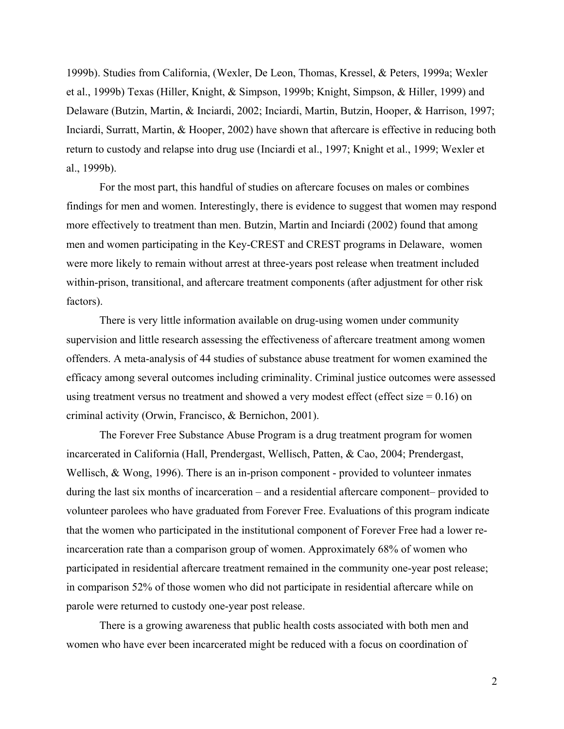1999b). Studies from California, (Wexler, De Leon, Thomas, Kressel, & Peters, 1999a; Wexler et al., 1999b) Texas (Hiller, Knight, & Simpson, 1999b; Knight, Simpson, & Hiller, 1999) and Delaware (Butzin, Martin, & Inciardi, 2002; Inciardi, Martin, Butzin, Hooper, & Harrison, 1997; Inciardi, Surratt, Martin, & Hooper, 2002) have shown that aftercare is effective in reducing both return to custody and relapse into drug use (Inciardi et al., 1997; Knight et al., 1999; Wexler et al., 1999b).

For the most part, this handful of studies on aftercare focuses on males or combines findings for men and women. Interestingly, there is evidence to suggest that women may respond more effectively to treatment than men. Butzin, Martin and Inciardi (2002) found that among men and women participating in the Key-CREST and CREST programs in Delaware, women were more likely to remain without arrest at three-years post release when treatment included within-prison, transitional, and aftercare treatment components (after adjustment for other risk factors).

There is very little information available on drug-using women under community supervision and little research assessing the effectiveness of aftercare treatment among women offenders. A meta-analysis of 44 studies of substance abuse treatment for women examined the efficacy among several outcomes including criminality. Criminal justice outcomes were assessed using treatment versus no treatment and showed a very modest effect (effect size  $= 0.16$ ) on criminal activity (Orwin, Francisco, & Bernichon, 2001).

The Forever Free Substance Abuse Program is a drug treatment program for women incarcerated in California (Hall, Prendergast, Wellisch, Patten, & Cao, 2004; Prendergast, Wellisch, & Wong, 1996). There is an in-prison component - provided to volunteer inmates during the last six months of incarceration – and a residential aftercare component– provided to volunteer parolees who have graduated from Forever Free. Evaluations of this program indicate that the women who participated in the institutional component of Forever Free had a lower reincarceration rate than a comparison group of women. Approximately 68% of women who participated in residential aftercare treatment remained in the community one-year post release; in comparison 52% of those women who did not participate in residential aftercare while on parole were returned to custody one-year post release.

There is a growing awareness that public health costs associated with both men and women who have ever been incarcerated might be reduced with a focus on coordination of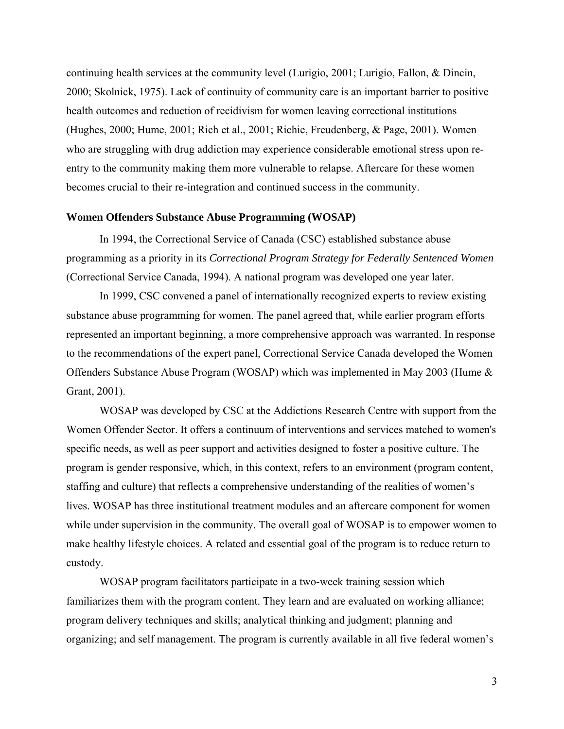<span id="page-10-0"></span>continuing health services at the community level (Lurigio, 2001; Lurigio, Fallon, & Dincin, 2000; Skolnick, 1975). Lack of continuity of community care is an important barrier to positive health outcomes and reduction of recidivism for women leaving correctional institutions (Hughes, 2000; Hume, 2001; Rich et al., 2001; Richie, Freudenberg, & Page, 2001). Women who are struggling with drug addiction may experience considerable emotional stress upon reentry to the community making them more vulnerable to relapse. Aftercare for these women becomes crucial to their re-integration and continued success in the community.

#### **Women Offenders Substance Abuse Programming (WOSAP)**

In 1994, the Correctional Service of Canada (CSC) established substance abuse programming as a priority in its *Correctional Program Strategy for Federally Sentenced Women* (Correctional Service Canada, 1994). A national program was developed one year later.

In 1999, CSC convened a panel of internationally recognized experts to review existing substance abuse programming for women. The panel agreed that, while earlier program efforts represented an important beginning, a more comprehensive approach was warranted. In response to the recommendations of the expert panel, Correctional Service Canada developed the Women Offenders Substance Abuse Program (WOSAP) which was implemented in May 2003 (Hume & Grant, 2001).

WOSAP was developed by CSC at the Addictions Research Centre with support from the Women Offender Sector. It offers a continuum of interventions and services matched to women's specific needs, as well as peer support and activities designed to foster a positive culture. The program is gender responsive, which, in this context, refers to an environment (program content, staffing and culture) that reflects a comprehensive understanding of the realities of women's lives. WOSAP has three institutional treatment modules and an aftercare component for women while under supervision in the community. The overall goal of WOSAP is to empower women to make healthy lifestyle choices. A related and essential goal of the program is to reduce return to custody.

WOSAP program facilitators participate in a two-week training session which familiarizes them with the program content. They learn and are evaluated on working alliance; program delivery techniques and skills; analytical thinking and judgment; planning and organizing; and self management. The program is currently available in all five federal women's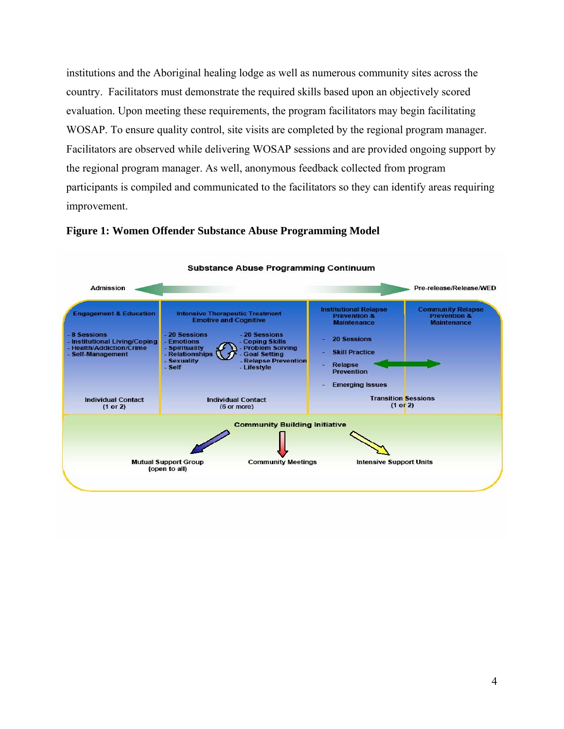<span id="page-11-0"></span>institutions and the Aboriginal healing lodge as well as numerous community sites across the country. Facilitators must demonstrate the required skills based upon an objectively scored evaluation. Upon meeting these requirements, the program facilitators may begin facilitating WOSAP. To ensure quality control, site visits are completed by the regional program manager. Facilitators are observed while delivering WOSAP sessions and are provided ongoing support by the regional program manager. As well, anonymous feedback collected from program participants is compiled and communicated to the facilitators so they can identify areas requiring improvement.



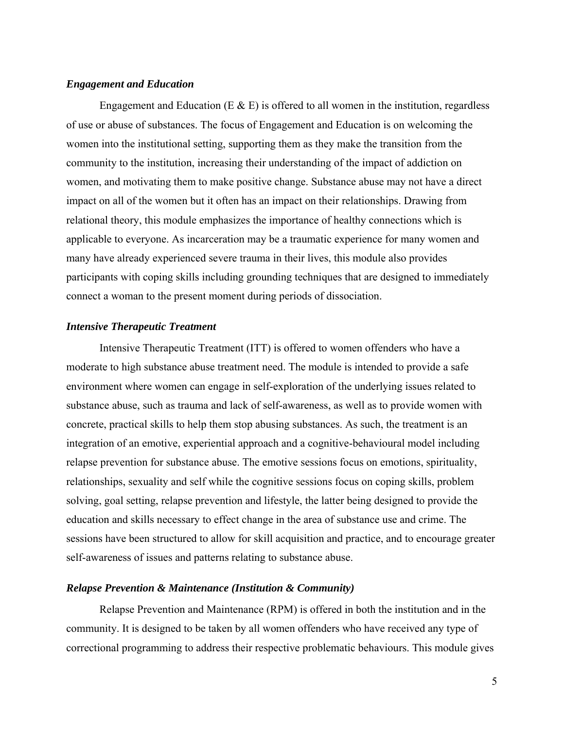## <span id="page-12-0"></span>*Engagement and Education*

Engagement and Education (E  $\&$  E) is offered to all women in the institution, regardless of use or abuse of substances. The focus of Engagement and Education is on welcoming the women into the institutional setting, supporting them as they make the transition from the community to the institution, increasing their understanding of the impact of addiction on women, and motivating them to make positive change. Substance abuse may not have a direct impact on all of the women but it often has an impact on their relationships. Drawing from relational theory, this module emphasizes the importance of healthy connections which is applicable to everyone. As incarceration may be a traumatic experience for many women and many have already experienced severe trauma in their lives, this module also provides participants with coping skills including grounding techniques that are designed to immediately connect a woman to the present moment during periods of dissociation.

### *Intensive Therapeutic Treatment*

Intensive Therapeutic Treatment (ITT) is offered to women offenders who have a moderate to high substance abuse treatment need. The module is intended to provide a safe environment where women can engage in self-exploration of the underlying issues related to substance abuse, such as trauma and lack of self-awareness, as well as to provide women with concrete, practical skills to help them stop abusing substances. As such, the treatment is an integration of an emotive, experiential approach and a cognitive-behavioural model including relapse prevention for substance abuse. The emotive sessions focus on emotions, spirituality, relationships, sexuality and self while the cognitive sessions focus on coping skills, problem solving, goal setting, relapse prevention and lifestyle, the latter being designed to provide the education and skills necessary to effect change in the area of substance use and crime. The sessions have been structured to allow for skill acquisition and practice, and to encourage greater self-awareness of issues and patterns relating to substance abuse.

### *Relapse Prevention & Maintenance (Institution & Community)*

Relapse Prevention and Maintenance (RPM) is offered in both the institution and in the community. It is designed to be taken by all women offenders who have received any type of correctional programming to address their respective problematic behaviours. This module gives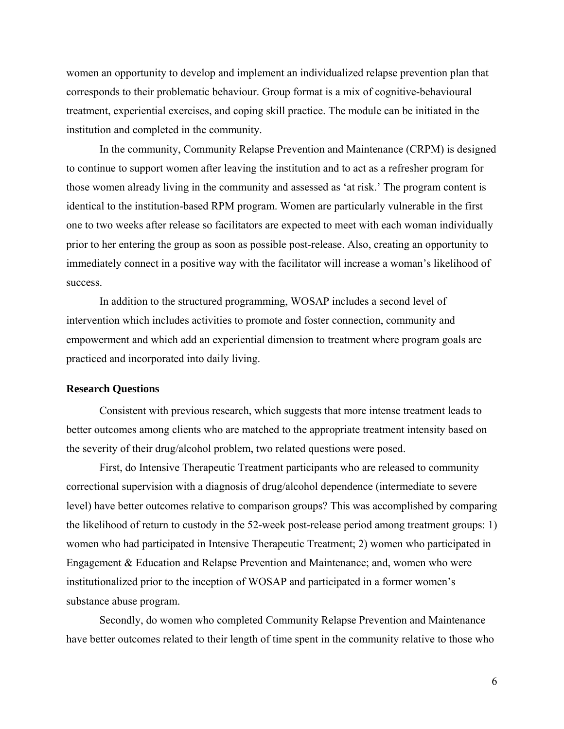<span id="page-13-0"></span>women an opportunity to develop and implement an individualized relapse prevention plan that corresponds to their problematic behaviour. Group format is a mix of cognitive-behavioural treatment, experiential exercises, and coping skill practice. The module can be initiated in the institution and completed in the community.

In the community, Community Relapse Prevention and Maintenance (CRPM) is designed to continue to support women after leaving the institution and to act as a refresher program for those women already living in the community and assessed as 'at risk.' The program content is identical to the institution-based RPM program. Women are particularly vulnerable in the first one to two weeks after release so facilitators are expected to meet with each woman individually prior to her entering the group as soon as possible post-release. Also, creating an opportunity to immediately connect in a positive way with the facilitator will increase a woman's likelihood of success.

In addition to the structured programming, WOSAP includes a second level of intervention which includes activities to promote and foster connection, community and empowerment and which add an experiential dimension to treatment where program goals are practiced and incorporated into daily living.

#### **Research Questions**

Consistent with previous research, which suggests that more intense treatment leads to better outcomes among clients who are matched to the appropriate treatment intensity based on the severity of their drug/alcohol problem, two related questions were posed.

First, do Intensive Therapeutic Treatment participants who are released to community correctional supervision with a diagnosis of drug/alcohol dependence (intermediate to severe level) have better outcomes relative to comparison groups? This was accomplished by comparing the likelihood of return to custody in the 52-week post-release period among treatment groups: 1) women who had participated in Intensive Therapeutic Treatment; 2) women who participated in Engagement & Education and Relapse Prevention and Maintenance; and, women who were institutionalized prior to the inception of WOSAP and participated in a former women's substance abuse program.

Secondly, do women who completed Community Relapse Prevention and Maintenance have better outcomes related to their length of time spent in the community relative to those who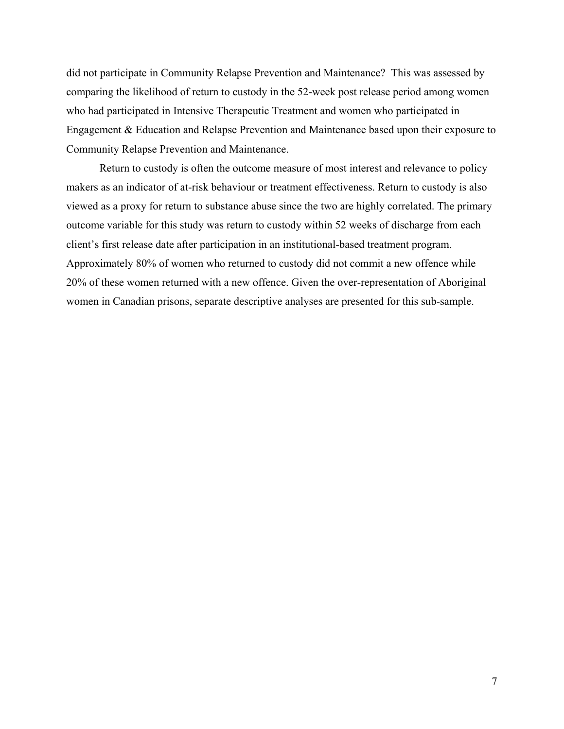did not participate in Community Relapse Prevention and Maintenance? This was assessed by comparing the likelihood of return to custody in the 52-week post release period among women who had participated in Intensive Therapeutic Treatment and women who participated in Engagement & Education and Relapse Prevention and Maintenance based upon their exposure to Community Relapse Prevention and Maintenance.

Return to custody is often the outcome measure of most interest and relevance to policy makers as an indicator of at-risk behaviour or treatment effectiveness. Return to custody is also viewed as a proxy for return to substance abuse since the two are highly correlated. The primary outcome variable for this study was return to custody within 52 weeks of discharge from each client's first release date after participation in an institutional-based treatment program. Approximately 80% of women who returned to custody did not commit a new offence while 20% of these women returned with a new offence. Given the over-representation of Aboriginal women in Canadian prisons, separate descriptive analyses are presented for this sub-sample.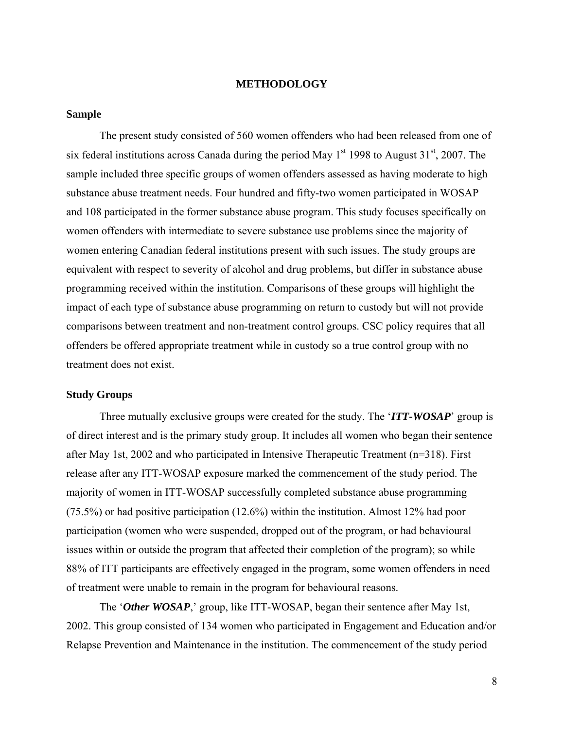#### **METHODOLOGY**

### <span id="page-15-0"></span>**Sample**

The present study consisted of 560 women offenders who had been released from one of six federal institutions across Canada during the period May  $1<sup>st</sup>$  1998 to August 31<sup>st</sup>, 2007. The sample included three specific groups of women offenders assessed as having moderate to high substance abuse treatment needs. Four hundred and fifty-two women participated in WOSAP and 108 participated in the former substance abuse program. This study focuses specifically on women offenders with intermediate to severe substance use problems since the majority of women entering Canadian federal institutions present with such issues. The study groups are equivalent with respect to severity of alcohol and drug problems, but differ in substance abuse programming received within the institution. Comparisons of these groups will highlight the impact of each type of substance abuse programming on return to custody but will not provide comparisons between treatment and non-treatment control groups. CSC policy requires that all offenders be offered appropriate treatment while in custody so a true control group with no treatment does not exist.

## **Study Groups**

Three mutually exclusive groups were created for the study. The '*ITT-WOSAP*' group is of direct interest and is the primary study group. It includes all women who began their sentence after May 1st, 2002 and who participated in Intensive Therapeutic Treatment (n=318). First release after any ITT-WOSAP exposure marked the commencement of the study period. The majority of women in ITT-WOSAP successfully completed substance abuse programming (75.5%) or had positive participation (12.6%) within the institution. Almost 12% had poor participation (women who were suspended, dropped out of the program, or had behavioural issues within or outside the program that affected their completion of the program); so while 88% of ITT participants are effectively engaged in the program, some women offenders in need of treatment were unable to remain in the program for behavioural reasons.

The '*Other WOSAP*,' group, like ITT-WOSAP, began their sentence after May 1st, 2002. This group consisted of 134 women who participated in Engagement and Education and/or Relapse Prevention and Maintenance in the institution. The commencement of the study period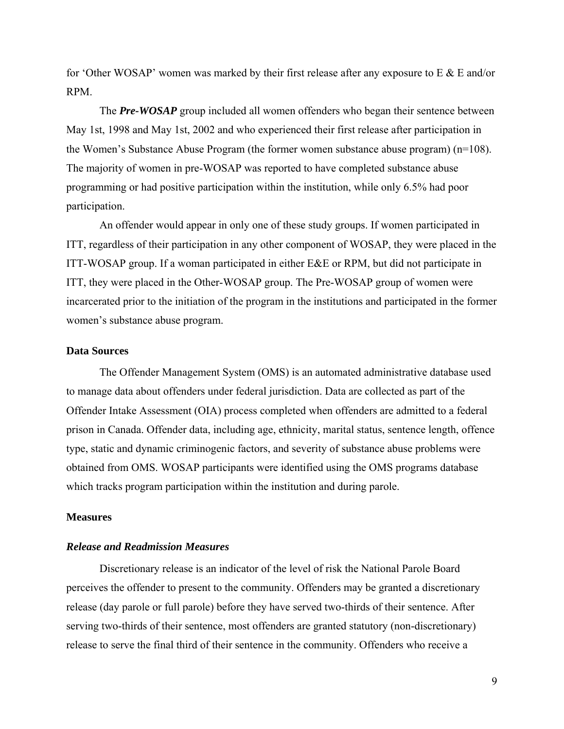<span id="page-16-0"></span>for 'Other WOSAP' women was marked by their first release after any exposure to  $E \& E$  and/or RPM.

The *Pre-WOSAP* group included all women offenders who began their sentence between May 1st, 1998 and May 1st, 2002 and who experienced their first release after participation in the Women's Substance Abuse Program (the former women substance abuse program) (n=108). The majority of women in pre-WOSAP was reported to have completed substance abuse programming or had positive participation within the institution, while only 6.5% had poor participation.

An offender would appear in only one of these study groups. If women participated in ITT, regardless of their participation in any other component of WOSAP, they were placed in the ITT-WOSAP group. If a woman participated in either E&E or RPM, but did not participate in ITT, they were placed in the Other-WOSAP group. The Pre-WOSAP group of women were incarcerated prior to the initiation of the program in the institutions and participated in the former women's substance abuse program.

## **Data Sources**

The Offender Management System (OMS) is an automated administrative database used to manage data about offenders under federal jurisdiction. Data are collected as part of the Offender Intake Assessment (OIA) process completed when offenders are admitted to a federal prison in Canada. Offender data, including age, ethnicity, marital status, sentence length, offence type, static and dynamic criminogenic factors, and severity of substance abuse problems were obtained from OMS. WOSAP participants were identified using the OMS programs database which tracks program participation within the institution and during parole.

## **Measures**

## *Release and Readmission Measures*

Discretionary release is an indicator of the level of risk the National Parole Board perceives the offender to present to the community. Offenders may be granted a discretionary release (day parole or full parole) before they have served two-thirds of their sentence. After serving two-thirds of their sentence, most offenders are granted statutory (non-discretionary) release to serve the final third of their sentence in the community. Offenders who receive a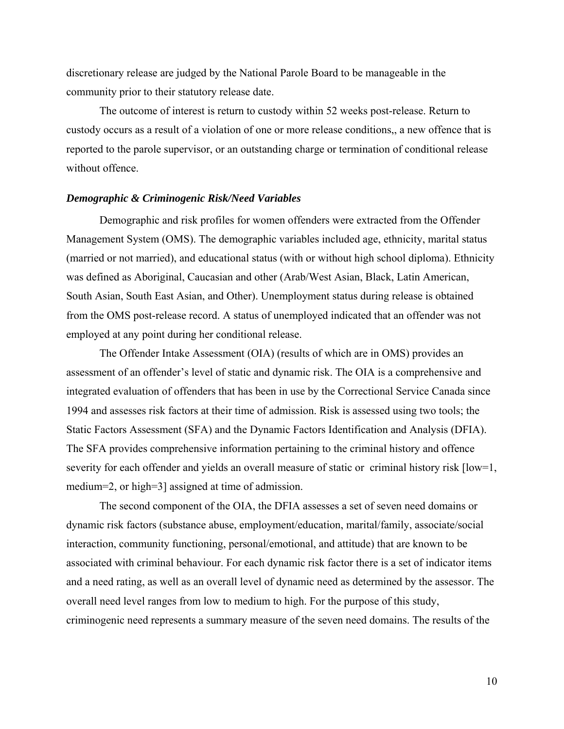<span id="page-17-0"></span>discretionary release are judged by the National Parole Board to be manageable in the community prior to their statutory release date.

The outcome of interest is return to custody within 52 weeks post-release. Return to custody occurs as a result of a violation of one or more release conditions,, a new offence that is reported to the parole supervisor, or an outstanding charge or termination of conditional release without offence.

## *Demographic & Criminogenic Risk/Need Variables*

Demographic and risk profiles for women offenders were extracted from the Offender Management System (OMS). The demographic variables included age, ethnicity, marital status (married or not married), and educational status (with or without high school diploma). Ethnicity was defined as Aboriginal, Caucasian and other (Arab/West Asian, Black, Latin American, South Asian, South East Asian, and Other). Unemployment status during release is obtained from the OMS post-release record. A status of unemployed indicated that an offender was not employed at any point during her conditional release.

The Offender Intake Assessment (OIA) (results of which are in OMS) provides an assessment of an offender's level of static and dynamic risk. The OIA is a comprehensive and integrated evaluation of offenders that has been in use by the Correctional Service Canada since 1994 and assesses risk factors at their time of admission. Risk is assessed using two tools; the Static Factors Assessment (SFA) and the Dynamic Factors Identification and Analysis (DFIA). The SFA provides comprehensive information pertaining to the criminal history and offence severity for each offender and yields an overall measure of static or criminal history risk [low=1, medium=2, or high=3] assigned at time of admission.

The second component of the OIA, the DFIA assesses a set of seven need domains or dynamic risk factors (substance abuse, employment/education, marital/family, associate/social interaction, community functioning, personal/emotional, and attitude) that are known to be associated with criminal behaviour. For each dynamic risk factor there is a set of indicator items and a need rating, as well as an overall level of dynamic need as determined by the assessor. The overall need level ranges from low to medium to high. For the purpose of this study, criminogenic need represents a summary measure of the seven need domains. The results of the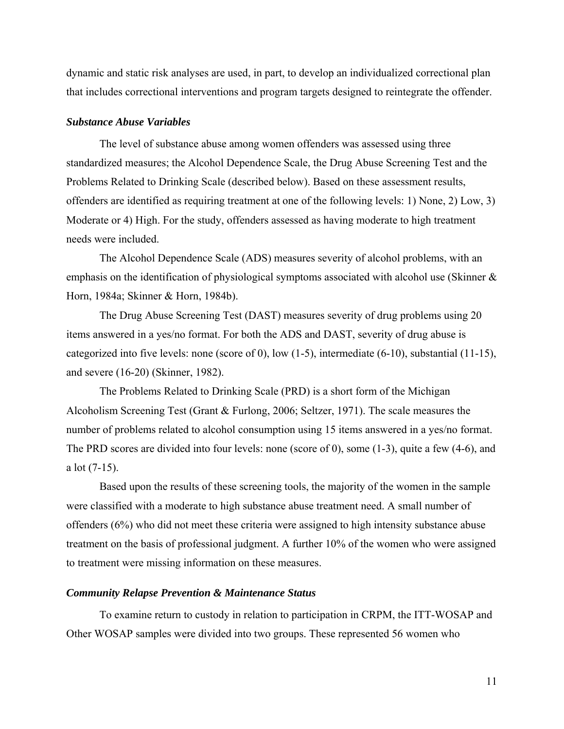<span id="page-18-0"></span>dynamic and static risk analyses are used, in part, to develop an individualized correctional plan that includes correctional interventions and program targets designed to reintegrate the offender.

#### *Substance Abuse Variables*

The level of substance abuse among women offenders was assessed using three standardized measures; the Alcohol Dependence Scale, the Drug Abuse Screening Test and the Problems Related to Drinking Scale (described below). Based on these assessment results, offenders are identified as requiring treatment at one of the following levels: 1) None, 2) Low, 3) Moderate or 4) High. For the study, offenders assessed as having moderate to high treatment needs were included.

The Alcohol Dependence Scale (ADS) measures severity of alcohol problems, with an emphasis on the identification of physiological symptoms associated with alcohol use (Skinner & Horn, 1984a; Skinner & Horn, 1984b).

The Drug Abuse Screening Test (DAST) measures severity of drug problems using 20 items answered in a yes/no format. For both the ADS and DAST, severity of drug abuse is categorized into five levels: none (score of 0), low (1-5), intermediate (6-10), substantial (11-15), and severe (16-20) (Skinner, 1982).

The Problems Related to Drinking Scale (PRD) is a short form of the Michigan Alcoholism Screening Test (Grant & Furlong, 2006; Seltzer, 1971). The scale measures the number of problems related to alcohol consumption using 15 items answered in a yes/no format. The PRD scores are divided into four levels: none (score of 0), some (1-3), quite a few (4-6), and a lot (7-15).

Based upon the results of these screening tools, the majority of the women in the sample were classified with a moderate to high substance abuse treatment need. A small number of offenders (6%) who did not meet these criteria were assigned to high intensity substance abuse treatment on the basis of professional judgment. A further 10% of the women who were assigned to treatment were missing information on these measures.

## *Community Relapse Prevention & Maintenance Status*

To examine return to custody in relation to participation in CRPM, the ITT-WOSAP and Other WOSAP samples were divided into two groups. These represented 56 women who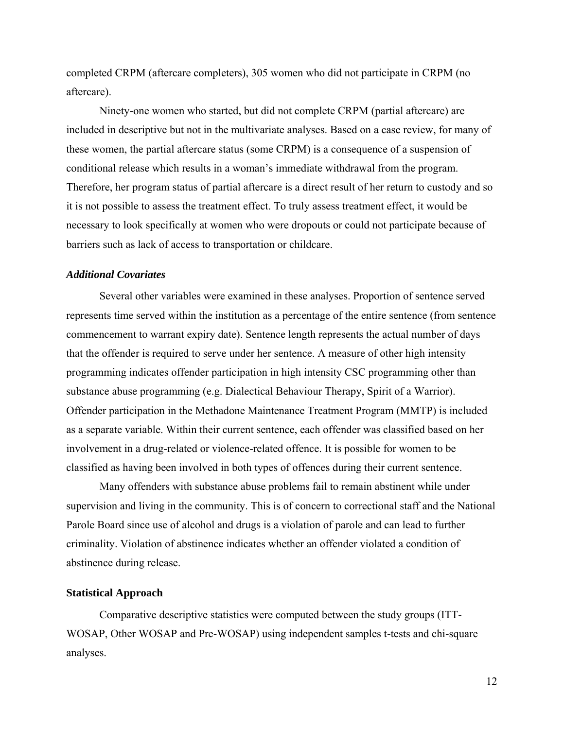<span id="page-19-0"></span>completed CRPM (aftercare completers), 305 women who did not participate in CRPM (no aftercare).

Ninety-one women who started, but did not complete CRPM (partial aftercare) are included in descriptive but not in the multivariate analyses. Based on a case review, for many of these women, the partial aftercare status (some CRPM) is a consequence of a suspension of conditional release which results in a woman's immediate withdrawal from the program. Therefore, her program status of partial aftercare is a direct result of her return to custody and so it is not possible to assess the treatment effect. To truly assess treatment effect, it would be necessary to look specifically at women who were dropouts or could not participate because of barriers such as lack of access to transportation or childcare.

## *Additional Covariates*

Several other variables were examined in these analyses. Proportion of sentence served represents time served within the institution as a percentage of the entire sentence (from sentence commencement to warrant expiry date). Sentence length represents the actual number of days that the offender is required to serve under her sentence. A measure of other high intensity programming indicates offender participation in high intensity CSC programming other than substance abuse programming (e.g. Dialectical Behaviour Therapy, Spirit of a Warrior). Offender participation in the Methadone Maintenance Treatment Program (MMTP) is included as a separate variable. Within their current sentence, each offender was classified based on her involvement in a drug-related or violence-related offence. It is possible for women to be classified as having been involved in both types of offences during their current sentence.

Many offenders with substance abuse problems fail to remain abstinent while under supervision and living in the community. This is of concern to correctional staff and the National Parole Board since use of alcohol and drugs is a violation of parole and can lead to further criminality. Violation of abstinence indicates whether an offender violated a condition of abstinence during release.

## **Statistical Approach**

Comparative descriptive statistics were computed between the study groups (ITT-WOSAP, Other WOSAP and Pre-WOSAP) using independent samples t-tests and chi-square analyses.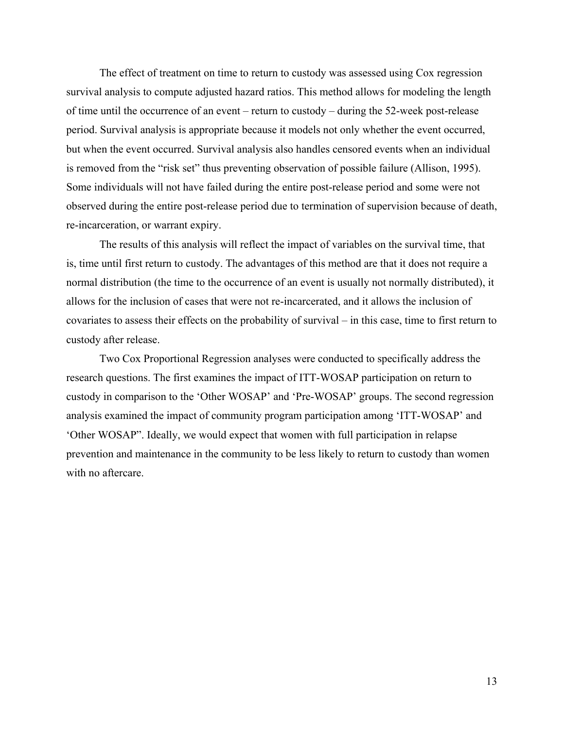The effect of treatment on time to return to custody was assessed using Cox regression survival analysis to compute adjusted hazard ratios. This method allows for modeling the length of time until the occurrence of an event – return to custody – during the 52-week post-release period. Survival analysis is appropriate because it models not only whether the event occurred, but when the event occurred. Survival analysis also handles censored events when an individual is removed from the "risk set" thus preventing observation of possible failure (Allison, 1995). Some individuals will not have failed during the entire post-release period and some were not observed during the entire post-release period due to termination of supervision because of death, re-incarceration, or warrant expiry.

The results of this analysis will reflect the impact of variables on the survival time, that is, time until first return to custody. The advantages of this method are that it does not require a normal distribution (the time to the occurrence of an event is usually not normally distributed), it allows for the inclusion of cases that were not re-incarcerated, and it allows the inclusion of covariates to assess their effects on the probability of survival – in this case, time to first return to custody after release.

Two Cox Proportional Regression analyses were conducted to specifically address the research questions. The first examines the impact of ITT-WOSAP participation on return to custody in comparison to the 'Other WOSAP' and 'Pre-WOSAP' groups. The second regression analysis examined the impact of community program participation among 'ITT-WOSAP' and 'Other WOSAP". Ideally, we would expect that women with full participation in relapse prevention and maintenance in the community to be less likely to return to custody than women with no aftercare.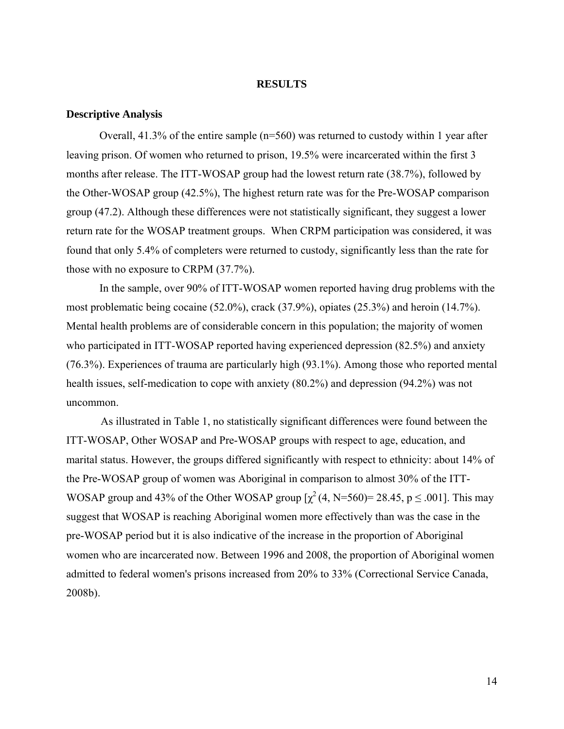#### **RESULTS**

#### <span id="page-21-0"></span>**Descriptive Analysis**

Overall, 41.3% of the entire sample (n=560) was returned to custody within 1 year after leaving prison. Of women who returned to prison, 19.5% were incarcerated within the first 3 months after release. The ITT-WOSAP group had the lowest return rate (38.7%), followed by the Other-WOSAP group (42.5%), The highest return rate was for the Pre-WOSAP comparison group (47.2). Although these differences were not statistically significant, they suggest a lower return rate for the WOSAP treatment groups. When CRPM participation was considered, it was found that only 5.4% of completers were returned to custody, significantly less than the rate for those with no exposure to CRPM (37.7%).

In the sample, over 90% of ITT-WOSAP women reported having drug problems with the most problematic being cocaine (52.0%), crack (37.9%), opiates (25.3%) and heroin (14.7%). Mental health problems are of considerable concern in this population; the majority of women who participated in ITT-WOSAP reported having experienced depression (82.5%) and anxiety (76.3%). Experiences of trauma are particularly high (93.1%). Among those who reported mental health issues, self-medication to cope with anxiety (80.2%) and depression (94.2%) was not uncommon.

As illustrated in Table 1, no statistically significant differences were found between the ITT-WOSAP, Other WOSAP and Pre-WOSAP groups with respect to age, education, and marital status. However, the groups differed significantly with respect to ethnicity: about 14% of the Pre-WOSAP group of women was Aboriginal in comparison to almost 30% of the ITT-WOSAP group and 43% of the Other WOSAP group  $[\chi^2(4, N=560) = 28.45, p \le .001]$ . This may suggest that WOSAP is reaching Aboriginal women more effectively than was the case in the pre-WOSAP period but it is also indicative of the increase in the proportion of Aboriginal women who are incarcerated now. Between 1996 and 2008, the proportion of Aboriginal women admitted to federal women's prisons increased from 20% to 33% (Correctional Service Canada, 2008b).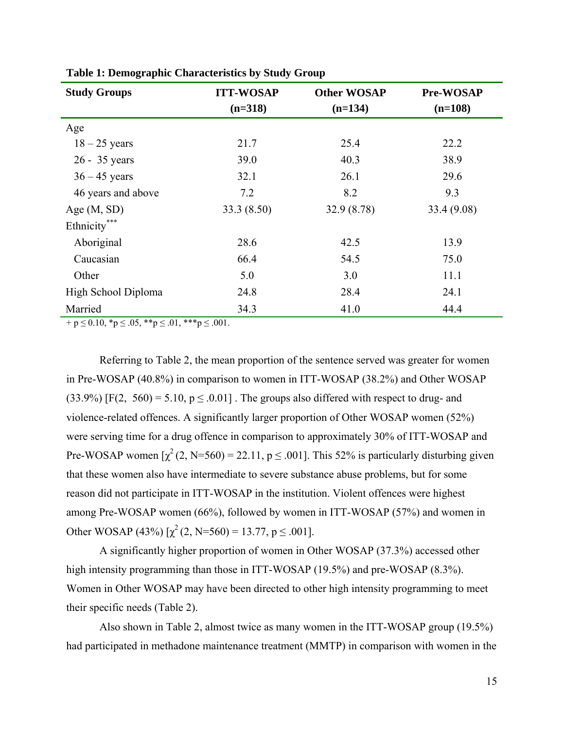| <b>Study Groups</b> | <b>ITT-WOSAP</b> | <b>Other WOSAP</b> | Pre-WOSAP   |
|---------------------|------------------|--------------------|-------------|
|                     | $(n=318)$        | $(n=134)$          | $(n=108)$   |
| Age                 |                  |                    |             |
| $18 - 25$ years     | 21.7             | 25.4               | 22.2        |
| 26 - 35 years       | 39.0             | 40.3               | 38.9        |
| $36 - 45$ years     | 32.1             | 26.1               | 29.6        |
| 46 years and above  | 7.2              | 8.2                | 9.3         |
| Age $(M, SD)$       | 33.3(8.50)       | 32.9(8.78)         | 33.4 (9.08) |
| Ethnicity***        |                  |                    |             |
| Aboriginal          | 28.6             | 42.5               | 13.9        |
| Caucasian           | 66.4             | 54.5               | 75.0        |
| Other               | 5.0              | 3.0                | 11.1        |
| High School Diploma | 24.8             | 28.4               | 24.1        |
| Married             | 34.3             | 41.0               | 44.4        |

<span id="page-22-0"></span>**Table 1: Demographic Characteristics by Study Group** 

 $+ p \le 0.10, *p \le .05, **p \le .01, ***p \le .001.$ 

Referring to Table 2, the mean proportion of the sentence served was greater for women in Pre-WOSAP (40.8%) in comparison to women in ITT-WOSAP (38.2%) and Other WOSAP  $(33.9\%)$  [F(2, 560) = 5.10, p  $\leq$  0.01]. The groups also differed with respect to drug- and violence-related offences. A significantly larger proportion of Other WOSAP women (52%) were serving time for a drug offence in comparison to approximately 30% of ITT-WOSAP and Pre-WOSAP women  $\lbrack \chi^2(2, N=560) = 22.11, p \le .001 \rbrack$ . This 52% is particularly disturbing given that these women also have intermediate to severe substance abuse problems, but for some reason did not participate in ITT-WOSAP in the institution. Violent offences were highest among Pre-WOSAP women (66%), followed by women in ITT-WOSAP (57%) and women in Other WOSAP (43%)  $[\chi^2(2, N=560) = 13.77, p \le .001]$ .

A significantly higher proportion of women in Other WOSAP (37.3%) accessed other high intensity programming than those in ITT-WOSAP (19.5%) and pre-WOSAP (8.3%). Women in Other WOSAP may have been directed to other high intensity programming to meet their specific needs (Table 2).

Also shown in Table 2, almost twice as many women in the ITT-WOSAP group (19.5%) had participated in methadone maintenance treatment (MMTP) in comparison with women in the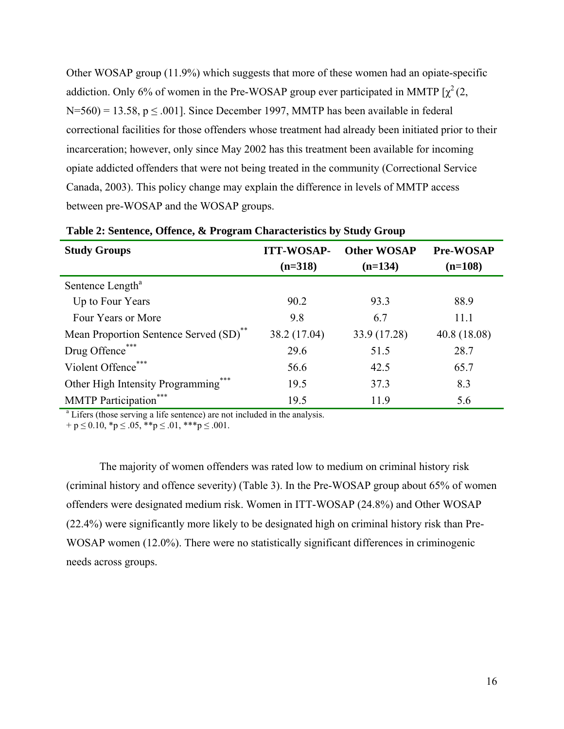<span id="page-23-0"></span>Other WOSAP group (11.9%) which suggests that more of these women had an opiate-specific addiction. Only 6% of women in the Pre-WOSAP group ever participated in MMTP  $[\chi^2(2, \chi)]$  $N=560$ ) = 13.58, p  $\leq$  001]. Since December 1997, MMTP has been available in federal correctional facilities for those offenders whose treatment had already been initiated prior to their incarceration; however, only since May 2002 has this treatment been available for incoming opiate addicted offenders that were not being treated in the community (Correctional Service Canada, 2003). This policy change may explain the difference in levels of MMTP access between pre-WOSAP and the WOSAP groups.

| <b>Study Groups</b>                                                                   | <b>ITT-WOSAP-</b><br>$(n=318)$ | <b>Other WOSAP</b><br>$(n=134)$ | Pre-WOSAP<br>$(n=108)$ |
|---------------------------------------------------------------------------------------|--------------------------------|---------------------------------|------------------------|
| Sentence Length <sup>a</sup>                                                          |                                |                                 |                        |
| Up to Four Years                                                                      | 90.2                           | 93.3                            | 88.9                   |
| Four Years or More                                                                    | 9.8                            | 6.7                             | 11.1                   |
| Mean Proportion Sentence Served (SD) <sup>**</sup>                                    | 38.2 (17.04)                   | 33.9 (17.28)                    | 40.8(18.08)            |
| Drug Offence***                                                                       | 29.6                           | 51.5                            | 28.7                   |
| Violent Offence***                                                                    | 56.6                           | 42.5                            | 65.7                   |
| ***<br>Other High Intensity Programming                                               | 19.5                           | 37.3                            | 8.3                    |
| <b>MMTP</b> Participation <sup>*</sup>                                                | 19.5                           | 11.9                            | 5.6                    |
| <sup>a</sup> Lifers (those serving a life sentence) are not included in the analysis. |                                |                                 |                        |

**Table 2: Sentence, Offence, & Program Characteristics by Study Group** 

 $+ p \le 0.10$ , \*p  $\le .05$ , \*\*p  $\le .01$ , \*\*\*p  $\le .001$ .

The majority of women offenders was rated low to medium on criminal history risk (criminal history and offence severity) (Table 3). In the Pre-WOSAP group about 65% of women offenders were designated medium risk. Women in ITT-WOSAP (24.8%) and Other WOSAP (22.4%) were significantly more likely to be designated high on criminal history risk than Pre-WOSAP women (12.0%). There were no statistically significant differences in criminogenic needs across groups.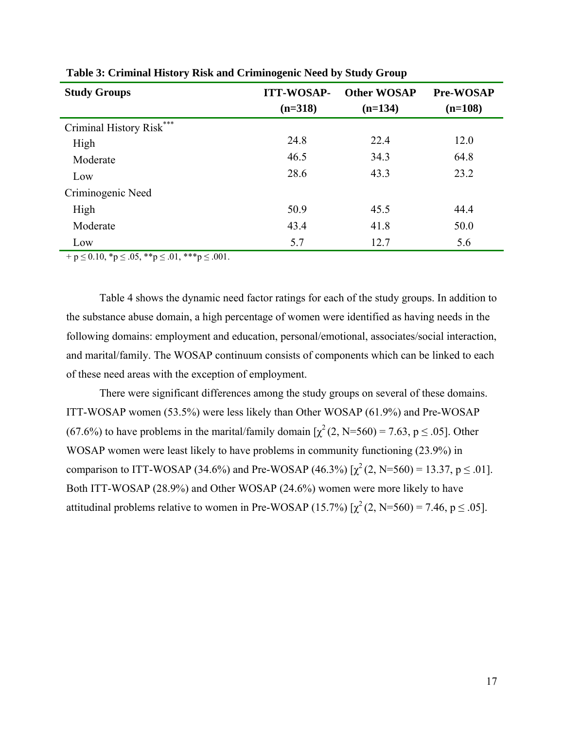| <b>Study Groups</b>      | <b>ITT-WOSAP-</b><br>$(n=318)$ | <b>Other WOSAP</b><br>$(n=134)$ | <b>Pre-WOSAP</b><br>$(n=108)$ |
|--------------------------|--------------------------------|---------------------------------|-------------------------------|
| Criminal History Risk*** |                                |                                 |                               |
| High                     | 24.8                           | 22.4                            | 12.0                          |
| Moderate                 | 46.5                           | 34.3                            | 64.8                          |
| Low                      | 28.6                           | 43.3                            | 23.2                          |
| Criminogenic Need        |                                |                                 |                               |
| High                     | 50.9                           | 45.5                            | 44.4                          |
| Moderate                 | 43.4                           | 41.8                            | 50.0                          |
| Low                      | 5.7                            | 12.7                            | 5.6                           |

<span id="page-24-0"></span>**Table 3: Criminal History Risk and Criminogenic Need by Study Group** 

 $+ p \le 0.10$ , \*p  $\le .05$ , \*\*p  $\le .01$ , \*\*\*p  $\le .001$ .

Table 4 shows the dynamic need factor ratings for each of the study groups. In addition to the substance abuse domain, a high percentage of women were identified as having needs in the following domains: employment and education, personal/emotional, associates/social interaction, and marital/family. The WOSAP continuum consists of components which can be linked to each of these need areas with the exception of employment.

There were significant differences among the study groups on several of these domains. ITT-WOSAP women (53.5%) were less likely than Other WOSAP (61.9%) and Pre-WOSAP (67.6%) to have problems in the marital/family domain  $[\chi^2(2, N=560) = 7.63, p \le .05]$ . Other WOSAP women were least likely to have problems in community functioning (23.9%) in comparison to ITT-WOSAP (34.6%) and Pre-WOSAP (46.3%)  $[\chi^2(2, N=560) = 13.37, p \le .01]$ . Both ITT-WOSAP (28.9%) and Other WOSAP (24.6%) women were more likely to have attitudinal problems relative to women in Pre-WOSAP (15.7%)  $[\chi^2(2, N=560) = 7.46, p \le .05]$ .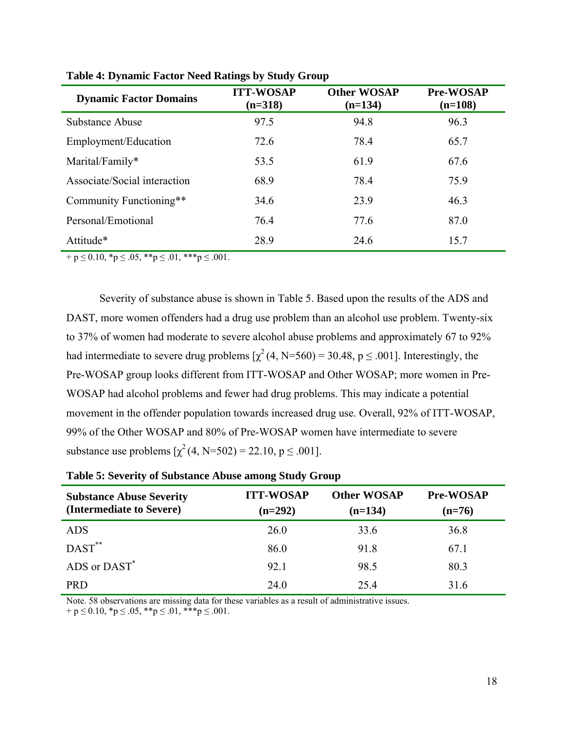| <b>Dynamic Factor Domains</b> | <b>ITT-WOSAP</b><br>$(n=318)$ | <b>Other WOSAP</b><br>$(n=134)$ | <b>Pre-WOSAP</b><br>$(n=108)$ |
|-------------------------------|-------------------------------|---------------------------------|-------------------------------|
| Substance Abuse               | 97.5                          | 94.8                            | 96.3                          |
| Employment/Education          | 72.6                          | 78.4                            | 65.7                          |
| Marital/Family*               | 53.5                          | 61.9                            | 67.6                          |
| Associate/Social interaction  | 68.9                          | 78.4                            | 75.9                          |
| Community Functioning**       | 34.6                          | 23.9                            | 46.3                          |
| Personal/Emotional            | 76.4                          | 77.6                            | 87.0                          |
| Attitude*                     | 28.9                          | 24.6                            | 15.7                          |

<span id="page-25-0"></span>**Table 4: Dynamic Factor Need Ratings by Study Group** 

 $+ p \le 0.10, *p \le .05, **p \le .01, ***p \le .001.$ 

Severity of substance abuse is shown in Table 5. Based upon the results of the ADS and DAST, more women offenders had a drug use problem than an alcohol use problem. Twenty-six to 37% of women had moderate to severe alcohol abuse problems and approximately 67 to 92% had intermediate to severe drug problems  $[\chi^2(4, N=560) = 30.48, p \le .001]$ . Interestingly, the Pre-WOSAP group looks different from ITT-WOSAP and Other WOSAP; more women in Pre-WOSAP had alcohol problems and fewer had drug problems. This may indicate a potential movement in the offender population towards increased drug use. Overall, 92% of ITT-WOSAP, 99% of the Other WOSAP and 80% of Pre-WOSAP women have intermediate to severe substance use problems  $[\chi^2(4, N=502) = 22.10, p \le .001]$ .

| <b>Substance Abuse Severity</b><br>(Intermediate to Severe) | <b>ITT-WOSAP</b><br>$(n=292)$ | <b>Other WOSAP</b><br>$(n=134)$ | <b>Pre-WOSAP</b><br>$(n=76)$ |
|-------------------------------------------------------------|-------------------------------|---------------------------------|------------------------------|
| <b>ADS</b>                                                  | 26.0                          | 33.6                            | 36.8                         |
| $DAST***$                                                   | 86.0                          | 91.8                            | 67.1                         |
| ADS or DAST*                                                | 92.1                          | 98.5                            | 80.3                         |
| <b>PRD</b>                                                  | 24.0                          | 25.4                            | 31.6                         |

|  |  |  | Table 5: Severity of Substance Abuse among Study Group |  |  |  |
|--|--|--|--------------------------------------------------------|--|--|--|
|  |  |  |                                                        |  |  |  |

Note. 58 observations are missing data for these variables as a result of administrative issues.  $+ p \le 0.10$ , \* $p \le .05$ , \*\* $p \le .01$ , \*\*\* $p \le .001$ .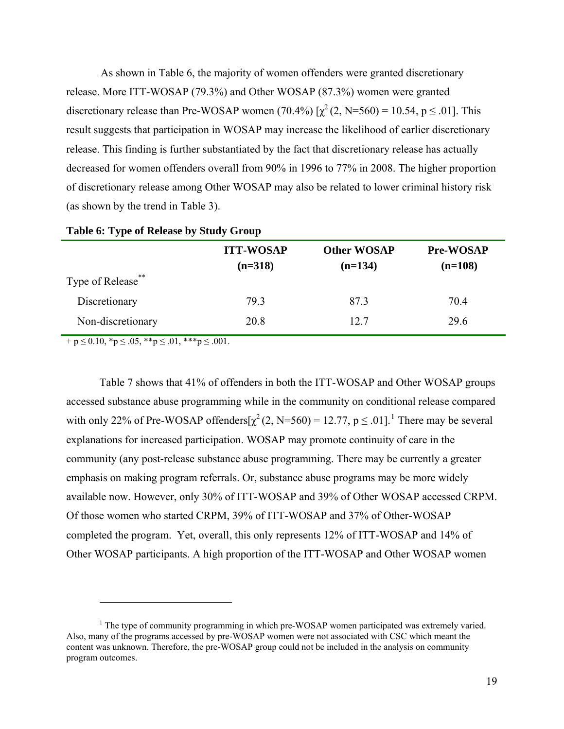<span id="page-26-0"></span>As shown in Table 6, the majority of women offenders were granted discretionary release. More ITT-WOSAP (79.3%) and Other WOSAP (87.3%) women were granted discretionary release than Pre-WOSAP women (70.4%)  $[\chi^2(2, N=560) = 10.54, p \le .01]$ . This result suggests that participation in WOSAP may increase the likelihood of earlier discretionary release. This finding is further substantiated by the fact that discretionary release has actually decreased for women offenders overall from 90% in 1996 to 77% in 2008. The higher proportion of discretionary release among Other WOSAP may also be related to lower criminal history risk (as shown by the trend in Table 3).

|                   | <b>ITT-WOSAP</b><br>$(n=318)$ | <b>Other WOSAP</b><br>$(n=134)$ | <b>Pre-WOSAP</b><br>$(n=108)$ |
|-------------------|-------------------------------|---------------------------------|-------------------------------|
| Type of Release** |                               |                                 |                               |
| Discretionary     | 79.3                          | 87.3                            | 70.4                          |
| Non-discretionary | 20.8                          | 12.7                            | 29.6                          |

#### **Table 6: Type of Release by Study Group**

 $+ p \le 0.10, *p \le .05, **p \le .01, **p \le .001.$ 

 $\overline{a}$ 

Table 7 shows that 41% of offenders in both the ITT-WOSAP and Other WOSAP groups accessed substance abuse programming while in the community on conditional release compared with only 22% of Pre-WOSAP offenders $[\chi^2(2, N=560) = 12.77, p \le .01]$  $[\chi^2(2, N=560) = 12.77, p \le .01]$  $[\chi^2(2, N=560) = 12.77, p \le .01]$ .<sup>1</sup> There may be several explanations for increased participation. WOSAP may promote continuity of care in the community (any post-release substance abuse programming. There may be currently a greater emphasis on making program referrals. Or, substance abuse programs may be more widely available now. However, only 30% of ITT-WOSAP and 39% of Other WOSAP accessed CRPM. Of those women who started CRPM, 39% of ITT-WOSAP and 37% of Other-WOSAP completed the program. Yet, overall, this only represents 12% of ITT-WOSAP and 14% of Other WOSAP participants. A high proportion of the ITT-WOSAP and Other WOSAP women

<span id="page-26-1"></span> $<sup>1</sup>$  The type of community programming in which pre-WOSAP women participated was extremely varied.</sup> Also, many of the programs accessed by pre-WOSAP women were not associated with CSC which meant the content was unknown. Therefore, the pre-WOSAP group could not be included in the analysis on community program outcomes.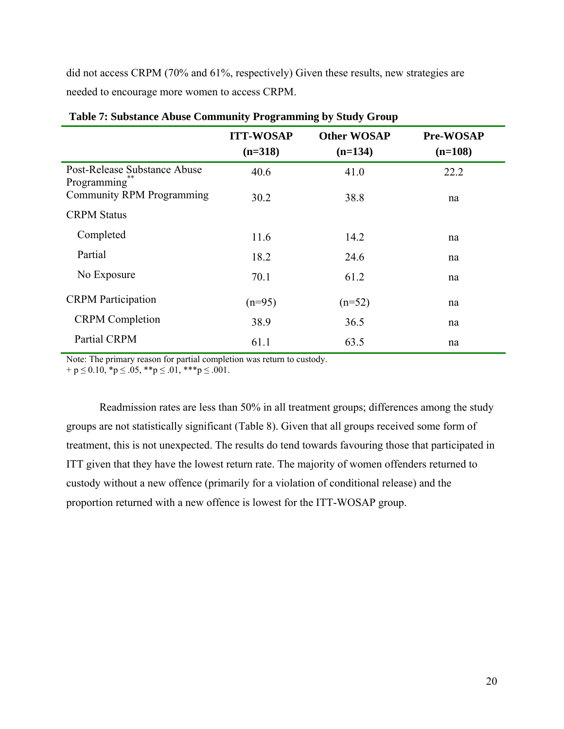<span id="page-27-0"></span>did not access CRPM (70% and 61%, respectively) Given these results, new strategies are needed to encourage more women to access CRPM.

|                                             | <b>ITT-WOSAP</b><br>$(n=318)$ | <b>Other WOSAP</b><br>$(n=134)$ | <b>Pre-WOSAP</b><br>$(n=108)$ |
|---------------------------------------------|-------------------------------|---------------------------------|-------------------------------|
| Post-Release Substance Abuse<br>Programming | 40.6                          | 41.0                            | 22.2                          |
| Community RPM Programming                   | 30.2                          | 38.8                            | na                            |
| <b>CRPM Status</b>                          |                               |                                 |                               |
| Completed                                   | 11.6                          | 14.2                            | na                            |
| Partial                                     | 18.2                          | 24.6                            | na                            |
| No Exposure                                 | 70.1                          | 61.2                            | na                            |
| <b>CRPM</b> Participation                   | $(n=95)$                      | $(n=52)$                        | na                            |
| <b>CRPM</b> Completion                      | 38.9                          | 36.5                            | na                            |
| Partial CRPM                                | 61.1                          | 63.5                            | na                            |

 **Table 7: Substance Abuse Community Programming by Study Group** 

Note: The primary reason for partial completion was return to custody.

 $+ p \le 0.10$ , \* $p \le .05$ , \*\* $p \le .01$ , \*\*\* $p \le .001$ .

Readmission rates are less than 50% in all treatment groups; differences among the study groups are not statistically significant (Table 8). Given that all groups received some form of treatment, this is not unexpected. The results do tend towards favouring those that participated in ITT given that they have the lowest return rate. The majority of women offenders returned to custody without a new offence (primarily for a violation of conditional release) and the proportion returned with a new offence is lowest for the ITT-WOSAP group.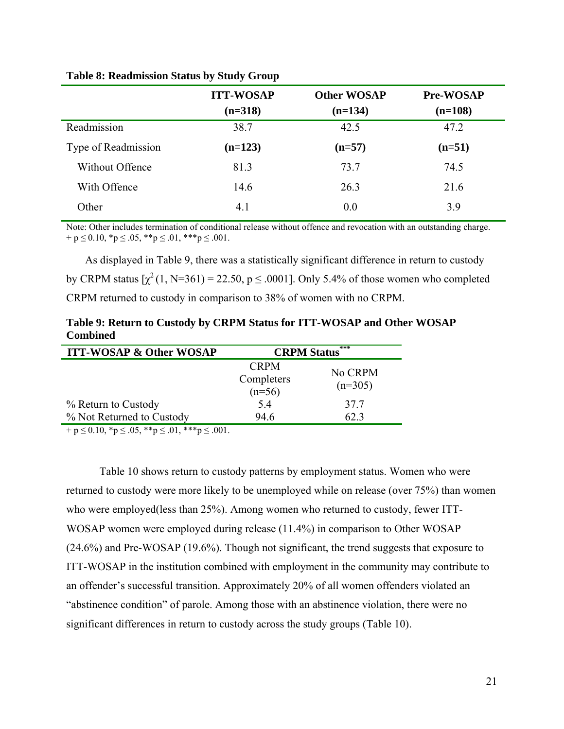|                     | <b>ITT-WOSAP</b> | <b>Other WOSAP</b> | <b>Pre-WOSAP</b> |
|---------------------|------------------|--------------------|------------------|
|                     | $(n=318)$        | $(n=134)$          | $(n=108)$        |
| Readmission         | 38.7             | 42.5               | 47.2             |
| Type of Readmission | $(n=123)$        | $(n=57)$           | $(n=51)$         |
| Without Offence     | 81.3             | 73.7               | 74.5             |
| With Offence        | 14.6             | 26.3               | 21.6             |
| Other               | 4.1              | 0.0                | 3.9              |

## <span id="page-28-0"></span>**Table 8: Readmission Status by Study Group**

Note: Other includes termination of conditional release without offence and revocation with an outstanding charge.  $+ p \le 0.10$ , \* $p \le .05$ , \*\* $p \le .01$ , \*\*\* $p \le .001$ .

As displayed in Table 9, there was a statistically significant difference in return to custody by CRPM status  $[\chi^2(1, N=361) = 22.50, p \le .0001]$ . Only 5.4% of those women who completed CRPM returned to custody in comparison to 38% of women with no CRPM.

**Table 9: Return to Custody by CRPM Status for ITT-WOSAP and Other WOSAP Combined** 

| <b>ITT-WOSAP &amp; Other WOSAP</b>                                                                                                                                                                                                                                                                                     | ***<br><b>CRPM Status</b>             |                      |
|------------------------------------------------------------------------------------------------------------------------------------------------------------------------------------------------------------------------------------------------------------------------------------------------------------------------|---------------------------------------|----------------------|
|                                                                                                                                                                                                                                                                                                                        | <b>CRPM</b><br>Completers<br>$(n=56)$ | No CRPM<br>$(n=305)$ |
| % Return to Custody                                                                                                                                                                                                                                                                                                    | 5.4                                   | 37.7                 |
| % Not Returned to Custody                                                                                                                                                                                                                                                                                              | 94.6                                  | 62.3                 |
| $1.7010 \times 2.05$ $\frac{1}{2}$ $\frac{1}{2}$ $\frac{1}{2}$ $\frac{1}{2}$ $\frac{1}{2}$ $\frac{1}{2}$ $\frac{1}{2}$ $\frac{1}{2}$ $\frac{1}{2}$ $\frac{1}{2}$ $\frac{1}{2}$ $\frac{1}{2}$ $\frac{1}{2}$ $\frac{1}{2}$ $\frac{1}{2}$ $\frac{1}{2}$ $\frac{1}{2}$ $\frac{1}{2}$ $\frac{1}{2}$ $\frac{1}{2}$ $\frac{1$ |                                       |                      |

 $+ p \le 0.10$ , \*p  $\le .05$ , \*\*p  $\le .01$ , \*\*\*p  $\le .001$ .

Table 10 shows return to custody patterns by employment status. Women who were returned to custody were more likely to be unemployed while on release (over 75%) than women who were employed(less than 25%). Among women who returned to custody, fewer ITT-WOSAP women were employed during release (11.4%) in comparison to Other WOSAP (24.6%) and Pre-WOSAP (19.6%). Though not significant, the trend suggests that exposure to ITT-WOSAP in the institution combined with employment in the community may contribute to an offender's successful transition. Approximately 20% of all women offenders violated an "abstinence condition" of parole. Among those with an abstinence violation, there were no significant differences in return to custody across the study groups (Table 10).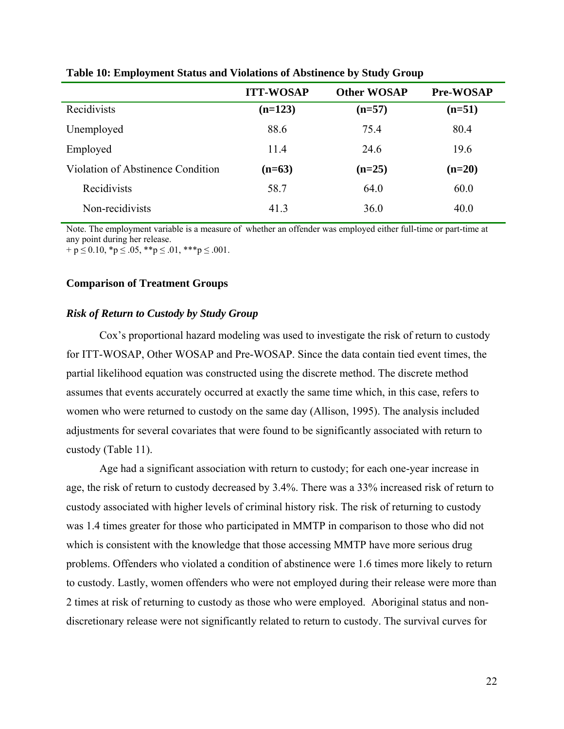|                                   | <b>ITT-WOSAP</b> | <b>Other WOSAP</b> | <b>Pre-WOSAP</b> |  |
|-----------------------------------|------------------|--------------------|------------------|--|
| Recidivists                       | $(n=123)$        | $(n=57)$           | $(n=51)$         |  |
| Unemployed                        | 88.6             | 75.4               | 80.4             |  |
| Employed                          | 11.4             | 24.6               | 19.6             |  |
| Violation of Abstinence Condition | $(n=63)$         | $(n=25)$           | $(n=20)$         |  |
| Recidivists                       | 58.7             | 64.0               | 60.0             |  |
| Non-recidivists                   | 41.3             | 36.0               | 40.0             |  |
|                                   |                  |                    |                  |  |

<span id="page-29-0"></span>**Table 10: Employment Status and Violations of Abstinence by Study Group** 

Note. The employment variable is a measure of whether an offender was employed either full-time or part-time at any point during her release.  $+ p \le 0.10$ , \*p  $\le .05$ , \*\*p  $\le .01$ , \*\*\*p  $\le .001$ .

#### **Comparison of Treatment Groups**

## *Risk of Return to Custody by Study Group*

Cox's proportional hazard modeling was used to investigate the risk of return to custody for ITT-WOSAP, Other WOSAP and Pre-WOSAP. Since the data contain tied event times, the partial likelihood equation was constructed using the discrete method. The discrete method assumes that events accurately occurred at exactly the same time which, in this case, refers to women who were returned to custody on the same day (Allison, 1995). The analysis included adjustments for several covariates that were found to be significantly associated with return to custody (Table 11).

Age had a significant association with return to custody; for each one-year increase in age, the risk of return to custody decreased by 3.4%. There was a 33% increased risk of return to custody associated with higher levels of criminal history risk. The risk of returning to custody was 1.4 times greater for those who participated in MMTP in comparison to those who did not which is consistent with the knowledge that those accessing MMTP have more serious drug problems. Offenders who violated a condition of abstinence were 1.6 times more likely to return to custody. Lastly, women offenders who were not employed during their release were more than 2 times at risk of returning to custody as those who were employed. Aboriginal status and nondiscretionary release were not significantly related to return to custody. The survival curves for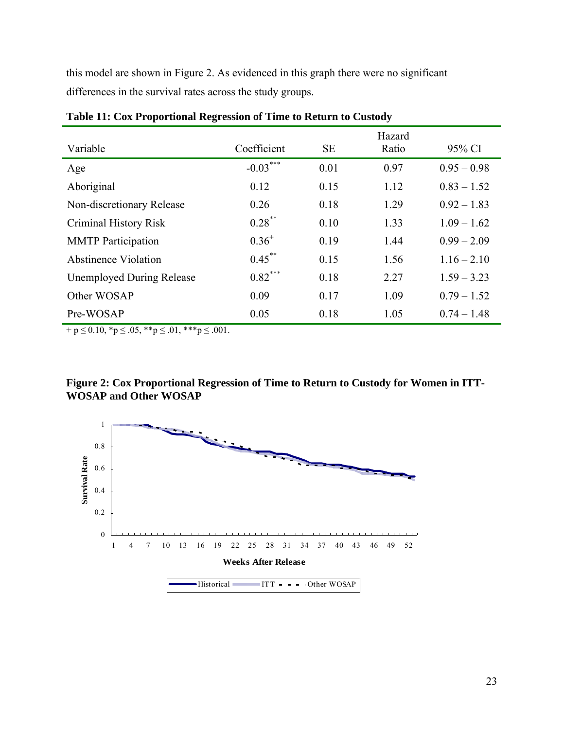<span id="page-30-0"></span>this model are shown in Figure 2. As evidenced in this graph there were no significant differences in the survival rates across the study groups.

| Variable                         | Coefficient | <b>SE</b> | Hazard<br>Ratio | 95% CI        |
|----------------------------------|-------------|-----------|-----------------|---------------|
| Age                              | $-0.03***$  | 0.01      | 0.97            | $0.95 - 0.98$ |
| Aboriginal                       | 0.12        | 0.15      | 1.12            | $0.83 - 1.52$ |
| Non-discretionary Release        | 0.26        | 0.18      | 1.29            | $0.92 - 1.83$ |
| Criminal History Risk            | $0.28$ **   | 0.10      | 1.33            | $1.09 - 1.62$ |
| <b>MMTP</b> Participation        | $0.36^{+}$  | 0.19      | 1.44            | $0.99 - 2.09$ |
| Abstinence Violation             | $0.45***$   | 0.15      | 1.56            | $1.16 - 2.10$ |
| <b>Unemployed During Release</b> | $0.82***$   | 0.18      | 2.27            | $1.59 - 3.23$ |
| Other WOSAP                      | 0.09        | 0.17      | 1.09            | $0.79 - 1.52$ |
| Pre-WOSAP                        | 0.05        | 0.18      | 1.05            | $0.74 - 1.48$ |

**Table 11: Cox Proportional Regression of Time to Return to Custody** 

 $+ p \le 0.10$ , \*p  $\le .05$ , \*\*p  $\le .01$ , \*\*\*p  $\le .001$ .



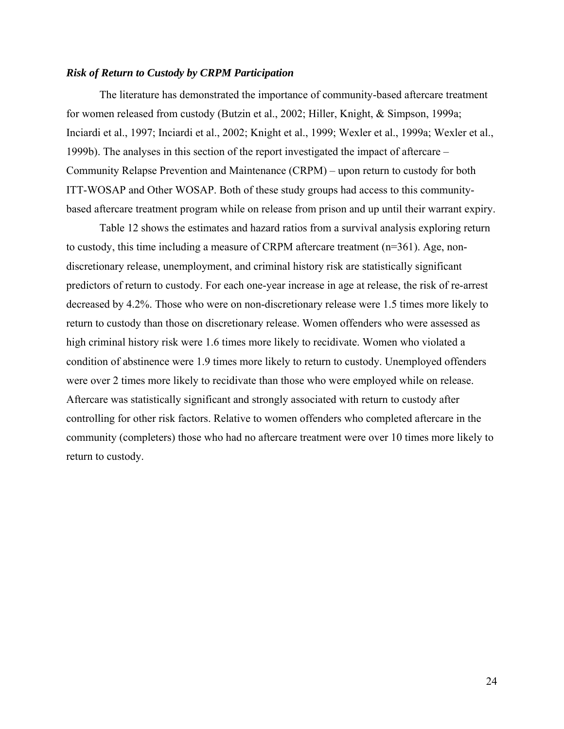## <span id="page-31-0"></span>*Risk of Return to Custody by CRPM Participation*

The literature has demonstrated the importance of community-based aftercare treatment for women released from custody (Butzin et al., 2002; Hiller, Knight, & Simpson, 1999a; Inciardi et al., 1997; Inciardi et al., 2002; Knight et al., 1999; Wexler et al., 1999a; Wexler et al., 1999b). The analyses in this section of the report investigated the impact of aftercare – Community Relapse Prevention and Maintenance (CRPM) – upon return to custody for both ITT-WOSAP and Other WOSAP. Both of these study groups had access to this communitybased aftercare treatment program while on release from prison and up until their warrant expiry.

Table 12 shows the estimates and hazard ratios from a survival analysis exploring return to custody, this time including a measure of CRPM aftercare treatment (n=361). Age, nondiscretionary release, unemployment, and criminal history risk are statistically significant predictors of return to custody. For each one-year increase in age at release, the risk of re-arrest decreased by 4.2%. Those who were on non-discretionary release were 1.5 times more likely to return to custody than those on discretionary release. Women offenders who were assessed as high criminal history risk were 1.6 times more likely to recidivate. Women who violated a condition of abstinence were 1.9 times more likely to return to custody. Unemployed offenders were over 2 times more likely to recidivate than those who were employed while on release. Aftercare was statistically significant and strongly associated with return to custody after controlling for other risk factors. Relative to women offenders who completed aftercare in the community (completers) those who had no aftercare treatment were over 10 times more likely to return to custody.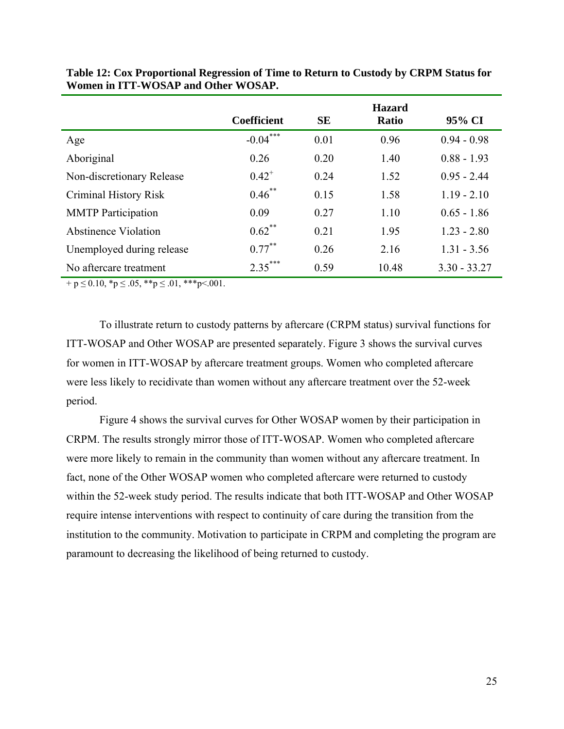|                           | <b>Coefficient</b> | <b>SE</b> | <b>Hazard</b><br><b>Ratio</b> | 95% CI         |
|---------------------------|--------------------|-----------|-------------------------------|----------------|
| Age                       | $-0.04***$         | 0.01      | 0.96                          | $0.94 - 0.98$  |
| Aboriginal                | 0.26               | 0.20      | 1.40                          | $0.88 - 1.93$  |
| Non-discretionary Release | $0.42^{+}$         | 0.24      | 1.52                          | $0.95 - 2.44$  |
| Criminal History Risk     | $0.46$ **          | 0.15      | 1.58                          | $1.19 - 2.10$  |
| <b>MMTP</b> Participation | 0.09               | 0.27      | 1.10                          | $0.65 - 1.86$  |
| Abstinence Violation      | $0.62$ **          | 0.21      | 1.95                          | $1.23 - 2.80$  |
| Unemployed during release | $0.77***$          | 0.26      | 2.16                          | $1.31 - 3.56$  |
| No aftercare treatment    | $2.35***$          | 0.59      | 10.48                         | $3.30 - 33.27$ |

<span id="page-32-0"></span>**Table 12: Cox Proportional Regression of Time to Return to Custody by CRPM Status for Women in ITT-WOSAP and Other WOSAP.** 

 $+ p \le 0.10, *p \le .05, **p \le .01, **p < .001.$ 

To illustrate return to custody patterns by aftercare (CRPM status) survival functions for ITT-WOSAP and Other WOSAP are presented separately. Figure 3 shows the survival curves for women in ITT-WOSAP by aftercare treatment groups. Women who completed aftercare were less likely to recidivate than women without any aftercare treatment over the 52-week period.

Figure 4 shows the survival curves for Other WOSAP women by their participation in CRPM. The results strongly mirror those of ITT-WOSAP. Women who completed aftercare were more likely to remain in the community than women without any aftercare treatment. In fact, none of the Other WOSAP women who completed aftercare were returned to custody within the 52-week study period. The results indicate that both ITT-WOSAP and Other WOSAP require intense interventions with respect to continuity of care during the transition from the institution to the community. Motivation to participate in CRPM and completing the program are paramount to decreasing the likelihood of being returned to custody.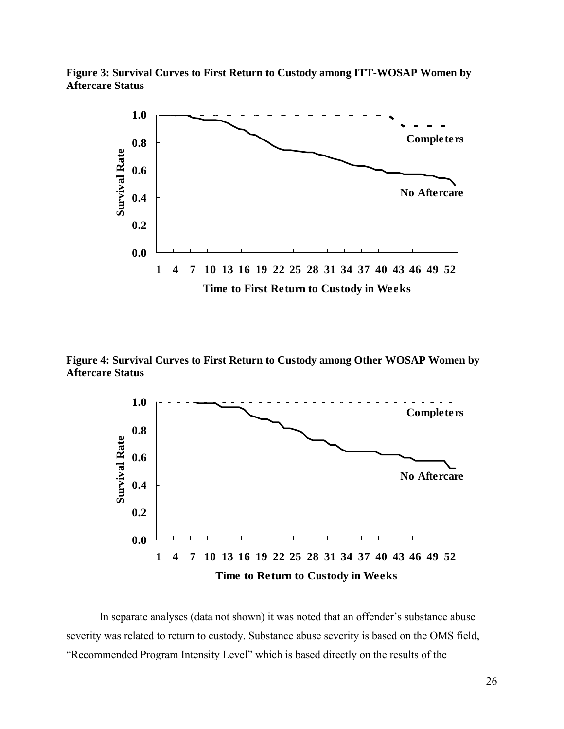<span id="page-33-0"></span>



**Figure 4: Survival Curves to First Return to Custody among Other WOSAP Women by Aftercare Status** 



In separate analyses (data not shown) it was noted that an offender's substance abuse severity was related to return to custody. Substance abuse severity is based on the OMS field, "Recommended Program Intensity Level" which is based directly on the results of the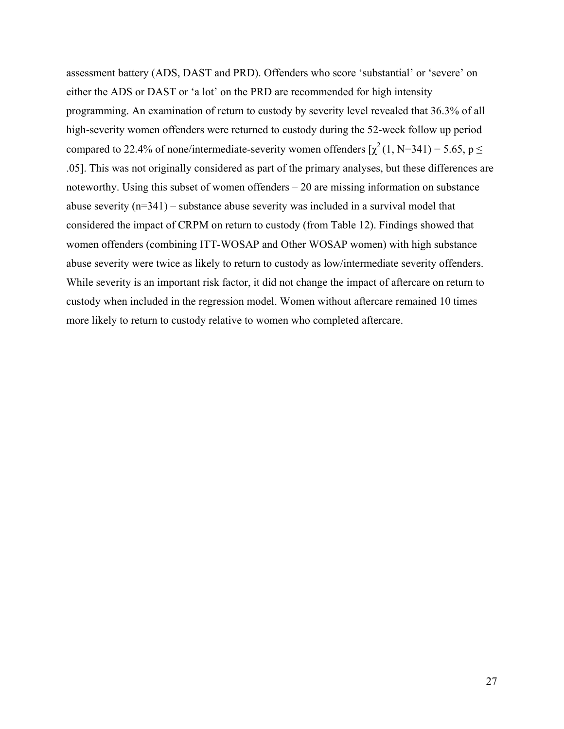assessment battery (ADS, DAST and PRD). Offenders who score 'substantial' or 'severe' on either the ADS or DAST or 'a lot' on the PRD are recommended for high intensity programming. An examination of return to custody by severity level revealed that 36.3% of all high-severity women offenders were returned to custody during the 52-week follow up period compared to 22.4% of none/intermediate-severity women offenders  $[\chi^2(1, N=341) = 5.65, p \leq$ .05]. This was not originally considered as part of the primary analyses, but these differences are noteworthy. Using this subset of women offenders – 20 are missing information on substance abuse severity (n=341) – substance abuse severity was included in a survival model that considered the impact of CRPM on return to custody (from Table 12). Findings showed that women offenders (combining ITT-WOSAP and Other WOSAP women) with high substance abuse severity were twice as likely to return to custody as low/intermediate severity offenders. While severity is an important risk factor, it did not change the impact of aftercare on return to custody when included in the regression model. Women without aftercare remained 10 times more likely to return to custody relative to women who completed aftercare.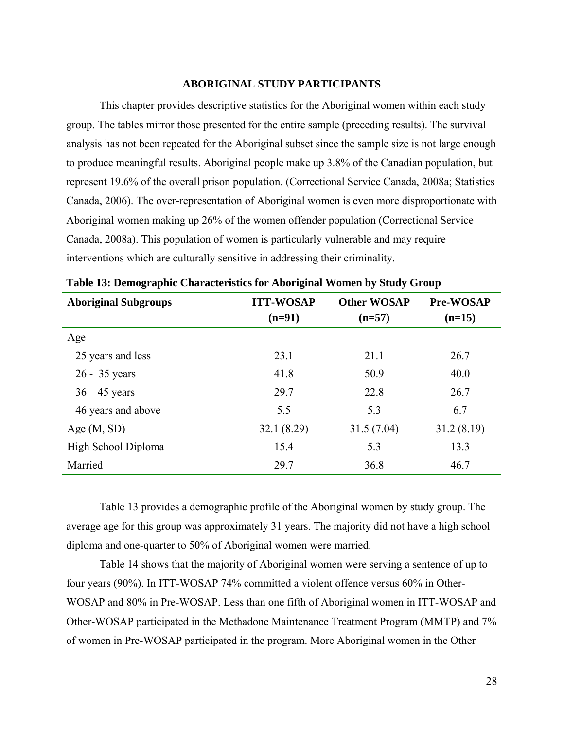#### **ABORIGINAL STUDY PARTICIPANTS**

<span id="page-35-0"></span>This chapter provides descriptive statistics for the Aboriginal women within each study group. The tables mirror those presented for the entire sample (preceding results). The survival analysis has not been repeated for the Aboriginal subset since the sample size is not large enough to produce meaningful results. Aboriginal people make up 3.8% of the Canadian population, but represent 19.6% of the overall prison population. (Correctional Service Canada, 2008a; Statistics Canada, 2006). The over-representation of Aboriginal women is even more disproportionate with Aboriginal women making up 26% of the women offender population (Correctional Service Canada, 2008a). This population of women is particularly vulnerable and may require interventions which are culturally sensitive in addressing their criminality.

| <b>Aboriginal Subgroups</b> | <b>ITT-WOSAP</b><br>$(n=91)$ | <b>Other WOSAP</b><br>$(n=57)$ | <b>Pre-WOSAP</b><br>$(n=15)$ |
|-----------------------------|------------------------------|--------------------------------|------------------------------|
| Age                         |                              |                                |                              |
| 25 years and less           | 23.1                         | 21.1                           | 26.7                         |
| $26 - 35$ years             | 41.8                         | 50.9                           | 40.0                         |
| $36 - 45$ years             | 29.7                         | 22.8                           | 26.7                         |
| 46 years and above          | 5.5                          | 5.3                            | 6.7                          |
| Age $(M, SD)$               | 32.1(8.29)                   | 31.5(7.04)                     | 31.2(8.19)                   |
| High School Diploma         | 15.4                         | 5.3                            | 13.3                         |
| Married                     | 29.7                         | 36.8                           | 46.7                         |

|  | Table 13: Demographic Characteristics for Aboriginal Women by Study Group |  |  |
|--|---------------------------------------------------------------------------|--|--|
|  |                                                                           |  |  |

Table 13 provides a demographic profile of the Aboriginal women by study group. The average age for this group was approximately 31 years. The majority did not have a high school diploma and one-quarter to 50% of Aboriginal women were married.

Table 14 shows that the majority of Aboriginal women were serving a sentence of up to four years (90%). In ITT-WOSAP 74% committed a violent offence versus 60% in Other-WOSAP and 80% in Pre-WOSAP. Less than one fifth of Aboriginal women in ITT-WOSAP and Other-WOSAP participated in the Methadone Maintenance Treatment Program (MMTP) and 7% of women in Pre-WOSAP participated in the program. More Aboriginal women in the Other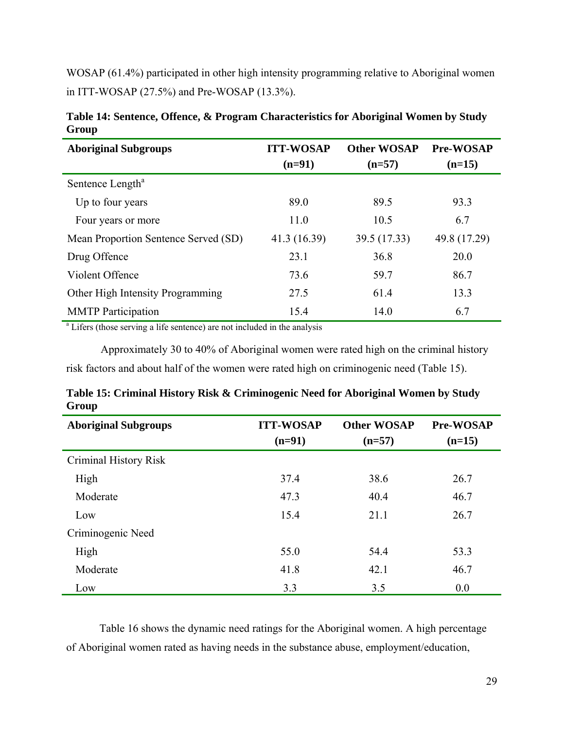<span id="page-36-0"></span>WOSAP (61.4%) participated in other high intensity programming relative to Aboriginal women in ITT-WOSAP (27.5%) and Pre-WOSAP (13.3%).

| <b>Aboriginal Subgroups</b>                                                          | <b>ITT-WOSAP</b><br>$(n=91)$ | <b>Other WOSAP</b><br>$(n=57)$ | <b>Pre-WOSAP</b><br>$(n=15)$ |  |
|--------------------------------------------------------------------------------------|------------------------------|--------------------------------|------------------------------|--|
| Sentence Length <sup>a</sup>                                                         |                              |                                |                              |  |
| Up to four years                                                                     | 89.0                         | 89.5                           | 93.3                         |  |
| Four years or more                                                                   | 11.0                         | 10.5                           | 6.7                          |  |
| Mean Proportion Sentence Served (SD)                                                 | 41.3 (16.39)                 | 39.5 (17.33)                   | 49.8 (17.29)                 |  |
| Drug Offence                                                                         | 23.1                         | 36.8                           | 20.0                         |  |
| Violent Offence                                                                      | 73.6                         | 59.7                           | 86.7                         |  |
| Other High Intensity Programming                                                     | 27.5                         | 61.4                           | 13.3                         |  |
| <b>MMTP</b> Participation                                                            | 15.4                         | 14.0                           | 6.7                          |  |
| <sup>a</sup> Lifers (those serving a life sentence) are not included in the analysis |                              |                                |                              |  |

**Table 14: Sentence, Offence, & Program Characteristics for Aboriginal Women by Study Group** 

Approximately 30 to 40% of Aboriginal women were rated high on the criminal history risk factors and about half of the women were rated high on criminogenic need (Table 15).

| <b>Aboriginal Subgroups</b> | <b>ITT-WOSAP</b><br>$(n=91)$ | <b>Other WOSAP</b><br>$(n=57)$ | Pre-WOSAP<br>$(n=15)$ |
|-----------------------------|------------------------------|--------------------------------|-----------------------|
| Criminal History Risk       |                              |                                |                       |
| High                        | 37.4                         | 38.6                           | 26.7                  |
| Moderate                    | 47.3                         | 40.4                           | 46.7                  |
| Low                         | 15.4                         | 21.1                           | 26.7                  |
| Criminogenic Need           |                              |                                |                       |
| High                        | 55.0                         | 54.4                           | 53.3                  |
| Moderate                    | 41.8                         | 42.1                           | 46.7                  |
| Low                         | 3.3                          | 3.5                            | 0.0                   |

**Table 15: Criminal History Risk & Criminogenic Need for Aboriginal Women by Study Group**

Table 16 shows the dynamic need ratings for the Aboriginal women. A high percentage of Aboriginal women rated as having needs in the substance abuse, employment/education,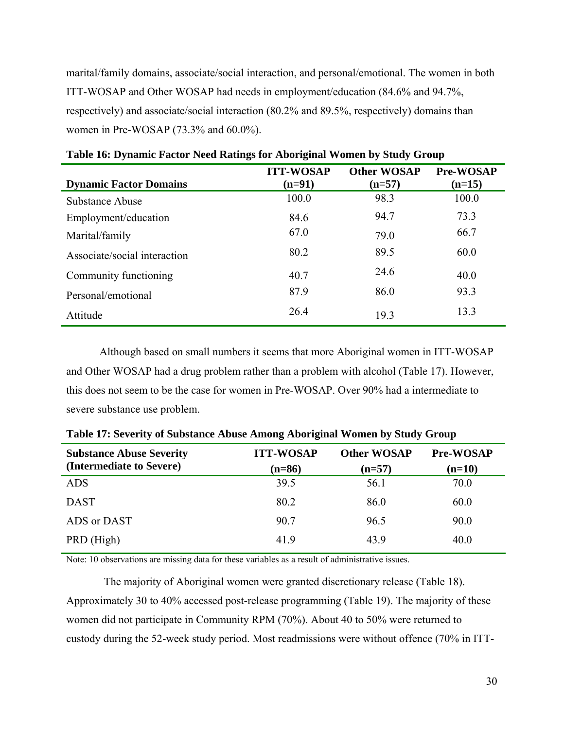<span id="page-37-0"></span>marital/family domains, associate/social interaction, and personal/emotional. The women in both ITT-WOSAP and Other WOSAP had needs in employment/education (84.6% and 94.7%, respectively) and associate/social interaction (80.2% and 89.5%, respectively) domains than women in Pre-WOSAP (73.3% and 60.0%).

|                               | <b>ITT-WOSAP</b> | <b>Other WOSAP</b> | <b>Pre-WOSAP</b> |
|-------------------------------|------------------|--------------------|------------------|
| <b>Dynamic Factor Domains</b> | $(n=91)$         | $(n=57)$           | $(n=15)$         |
| Substance Abuse               | 100.0            | 98.3               | 100.0            |
| Employment/education          | 84.6             | 94.7               | 73.3             |
| Marital/family                | 67.0             | 79.0               | 66.7             |
| Associate/social interaction  | 80.2             | 89.5               | 60.0             |
| Community functioning         | 40.7             | 24.6               | 40.0             |
| Personal/emotional            | 87.9             | 86.0               | 93.3             |
| Attitude                      | 26.4             | 19.3               | 13.3             |

**Table 16: Dynamic Factor Need Ratings for Aboriginal Women by Study Group** 

Although based on small numbers it seems that more Aboriginal women in ITT-WOSAP and Other WOSAP had a drug problem rather than a problem with alcohol (Table 17). However, this does not seem to be the case for women in Pre-WOSAP. Over 90% had a intermediate to severe substance use problem.

| <b>Substance Abuse Severity</b> | <b>ITT-WOSAP</b> | <b>Other WOSAP</b> | <b>Pre-WOSAP</b> |
|---------------------------------|------------------|--------------------|------------------|
| (Intermediate to Severe)        | $(n=86)$         | $(n=57)$           | $(n=10)$         |
| <b>ADS</b>                      | 39.5             | 56.1               | 70.0             |
| <b>DAST</b>                     | 80.2             | 86.0               | 60.0             |
| ADS or DAST                     | 90.7             | 96.5               | 90.0             |
| PRD (High)                      | 41.9             | 43.9               | 40.0             |

**Table 17: Severity of Substance Abuse Among Aboriginal Women by Study Group** 

Note: 10 observations are missing data for these variables as a result of administrative issues.

 The majority of Aboriginal women were granted discretionary release (Table 18). Approximately 30 to 40% accessed post-release programming (Table 19). The majority of these women did not participate in Community RPM (70%). About 40 to 50% were returned to custody during the 52-week study period. Most readmissions were without offence (70% in ITT-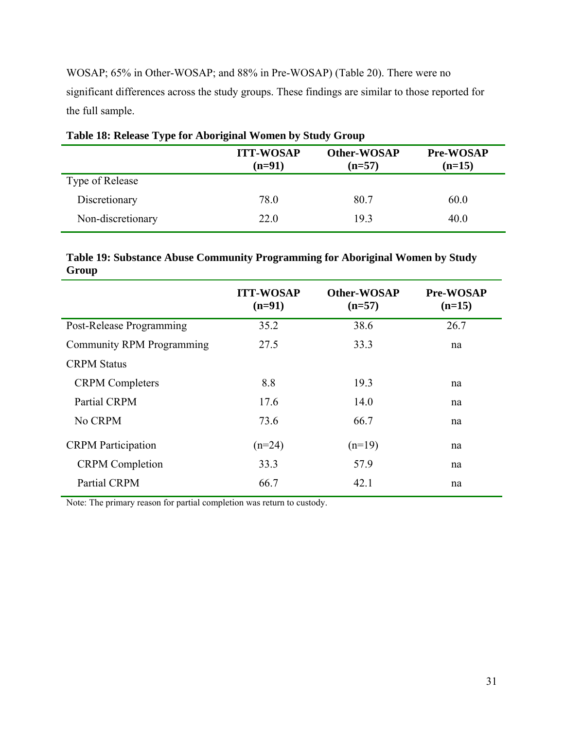<span id="page-38-0"></span>WOSAP; 65% in Other-WOSAP; and 88% in Pre-WOSAP) (Table 20). There were no significant differences across the study groups. These findings are similar to those reported for the full sample.

|                   | <b>ITT-WOSAP</b><br>$(n=91)$ | Other-WOSAP<br>$(n=57)$ | <b>Pre-WOSAP</b><br>$(n=15)$ |
|-------------------|------------------------------|-------------------------|------------------------------|
| Type of Release   |                              |                         |                              |
| Discretionary     | 78.0                         | 80.7                    | 60.0                         |
| Non-discretionary | 22.0                         | 19.3                    | 40.0                         |

## **Table 19: Substance Abuse Community Programming for Aboriginal Women by Study Group**

|                                  | <b>ITT-WOSAP</b><br>$(n=91)$ | <b>Other-WOSAP</b><br>$(n=57)$ | <b>Pre-WOSAP</b><br>$(n=15)$ |
|----------------------------------|------------------------------|--------------------------------|------------------------------|
| Post-Release Programming         | 35.2                         | 38.6                           | 26.7                         |
| <b>Community RPM Programming</b> | 27.5                         | 33.3                           | na                           |
| <b>CRPM Status</b>               |                              |                                |                              |
| <b>CRPM</b> Completers           | 8.8                          | 19.3                           | na                           |
| Partial CRPM                     | 17.6                         | 14.0                           | na                           |
| No CRPM                          | 73.6                         | 66.7                           | na                           |
| <b>CRPM</b> Participation        | $(n=24)$                     | $(n=19)$                       | na                           |
| <b>CRPM</b> Completion           | 33.3                         | 57.9                           | na                           |
| <b>Partial CRPM</b>              | 66.7                         | 42.1                           | na                           |

Note: The primary reason for partial completion was return to custody.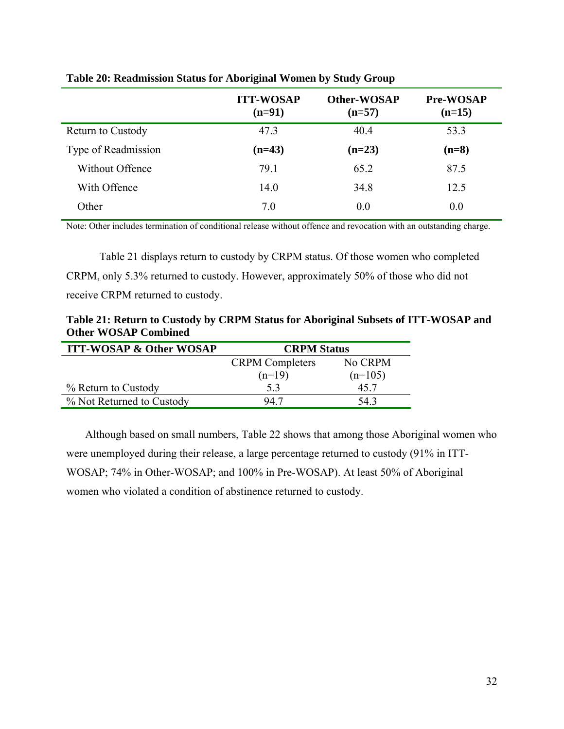|                          | <b>ITT-WOSAP</b><br>$(n=91)$ | Other-WOSAP<br>$(n=57)$ | <b>Pre-WOSAP</b><br>$(n=15)$ |
|--------------------------|------------------------------|-------------------------|------------------------------|
| <b>Return to Custody</b> | 47.3                         | 40.4                    | 53.3                         |
| Type of Readmission      | $(n=43)$                     | $(n=23)$                | $(n=8)$                      |
| Without Offence          | 79.1                         | 65.2                    | 87.5                         |
| With Offence             | 14.0                         | 34.8                    | 12.5                         |
| Other                    | 7.0                          | 0.0                     | 0.0                          |

## <span id="page-39-0"></span>**Table 20: Readmission Status for Aboriginal Women by Study Group**

Note: Other includes termination of conditional release without offence and revocation with an outstanding charge.

Table 21 displays return to custody by CRPM status. Of those women who completed CRPM, only 5.3% returned to custody. However, approximately 50% of those who did not receive CRPM returned to custody.

**Table 21: Return to Custody by CRPM Status for Aboriginal Subsets of ITT-WOSAP and Other WOSAP Combined** 

| <b>ITT-WOSAP &amp; Other WOSAP</b> | <b>CRPM</b> Status     |           |
|------------------------------------|------------------------|-----------|
|                                    | <b>CRPM</b> Completers | No CRPM   |
|                                    | $(n=19)$               | $(n=105)$ |
| % Return to Custody                | 53                     | 45 7      |
| % Not Returned to Custody          | 94 7                   | 543       |

Although based on small numbers, Table 22 shows that among those Aboriginal women who were unemployed during their release, a large percentage returned to custody (91% in ITT-WOSAP; 74% in Other-WOSAP; and 100% in Pre-WOSAP). At least 50% of Aboriginal women who violated a condition of abstinence returned to custody.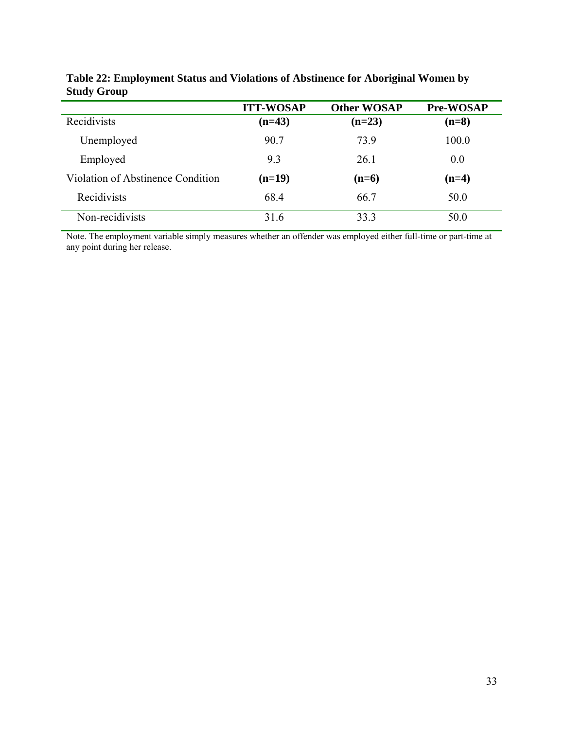|                                   | <b>ITT-WOSAP</b> | <b>Other WOSAP</b> | Pre-WOSAP |
|-----------------------------------|------------------|--------------------|-----------|
| Recidivists                       | $(n=43)$         | $(n=23)$           | $(n=8)$   |
| Unemployed                        | 90.7             | 73.9               | 100.0     |
| Employed                          | 9.3              | 26.1               | 0.0       |
| Violation of Abstinence Condition | $(n=19)$         | $(n=6)$            | $(n=4)$   |
| Recidivists                       | 68.4             | 66.7               | 50.0      |
| Non-recidivists                   | 31.6             | 33.3               | 50.0      |

<span id="page-40-0"></span>**Table 22: Employment Status and Violations of Abstinence for Aboriginal Women by Study Group** 

Note. The employment variable simply measures whether an offender was employed either full-time or part-time at any point during her release.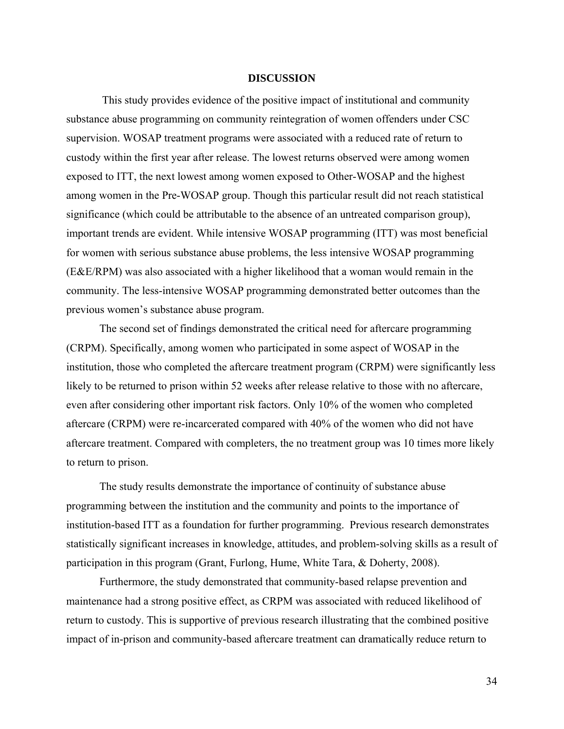#### **DISCUSSION**

<span id="page-41-0"></span> This study provides evidence of the positive impact of institutional and community substance abuse programming on community reintegration of women offenders under CSC supervision. WOSAP treatment programs were associated with a reduced rate of return to custody within the first year after release. The lowest returns observed were among women exposed to ITT, the next lowest among women exposed to Other-WOSAP and the highest among women in the Pre-WOSAP group. Though this particular result did not reach statistical significance (which could be attributable to the absence of an untreated comparison group), important trends are evident. While intensive WOSAP programming (ITT) was most beneficial for women with serious substance abuse problems, the less intensive WOSAP programming (E&E/RPM) was also associated with a higher likelihood that a woman would remain in the community. The less-intensive WOSAP programming demonstrated better outcomes than the previous women's substance abuse program.

The second set of findings demonstrated the critical need for aftercare programming (CRPM). Specifically, among women who participated in some aspect of WOSAP in the institution, those who completed the aftercare treatment program (CRPM) were significantly less likely to be returned to prison within 52 weeks after release relative to those with no aftercare, even after considering other important risk factors. Only 10% of the women who completed aftercare (CRPM) were re-incarcerated compared with 40% of the women who did not have aftercare treatment. Compared with completers, the no treatment group was 10 times more likely to return to prison.

The study results demonstrate the importance of continuity of substance abuse programming between the institution and the community and points to the importance of institution-based ITT as a foundation for further programming. Previous research demonstrates statistically significant increases in knowledge, attitudes, and problem-solving skills as a result of participation in this program (Grant, Furlong, Hume, White Tara, & Doherty, 2008).

Furthermore, the study demonstrated that community-based relapse prevention and maintenance had a strong positive effect, as CRPM was associated with reduced likelihood of return to custody. This is supportive of previous research illustrating that the combined positive impact of in-prison and community-based aftercare treatment can dramatically reduce return to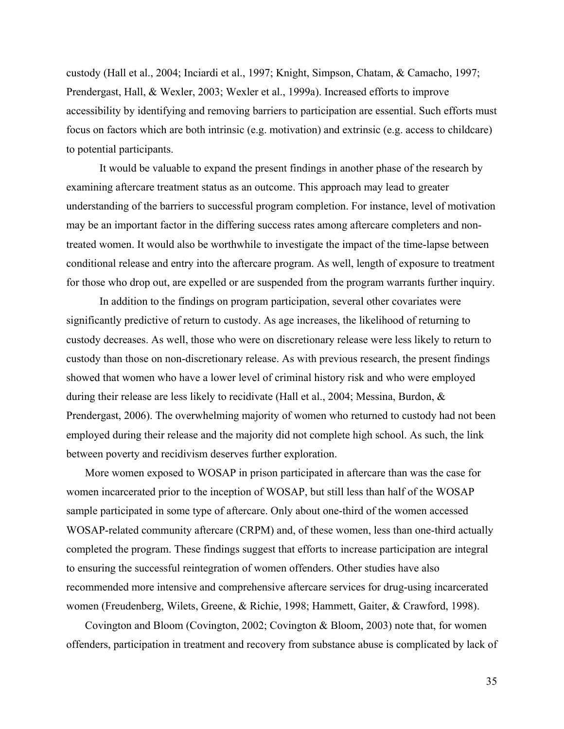custody (Hall et al., 2004; Inciardi et al., 1997; Knight, Simpson, Chatam, & Camacho, 1997; Prendergast, Hall, & Wexler, 2003; Wexler et al., 1999a). Increased efforts to improve accessibility by identifying and removing barriers to participation are essential. Such efforts must focus on factors which are both intrinsic (e.g. motivation) and extrinsic (e.g. access to childcare) to potential participants.

It would be valuable to expand the present findings in another phase of the research by examining aftercare treatment status as an outcome. This approach may lead to greater understanding of the barriers to successful program completion. For instance, level of motivation may be an important factor in the differing success rates among aftercare completers and nontreated women. It would also be worthwhile to investigate the impact of the time-lapse between conditional release and entry into the aftercare program. As well, length of exposure to treatment for those who drop out, are expelled or are suspended from the program warrants further inquiry.

In addition to the findings on program participation, several other covariates were significantly predictive of return to custody. As age increases, the likelihood of returning to custody decreases. As well, those who were on discretionary release were less likely to return to custody than those on non-discretionary release. As with previous research, the present findings showed that women who have a lower level of criminal history risk and who were employed during their release are less likely to recidivate (Hall et al., 2004; Messina, Burdon, & Prendergast, 2006). The overwhelming majority of women who returned to custody had not been employed during their release and the majority did not complete high school. As such, the link between poverty and recidivism deserves further exploration.

More women exposed to WOSAP in prison participated in aftercare than was the case for women incarcerated prior to the inception of WOSAP, but still less than half of the WOSAP sample participated in some type of aftercare. Only about one-third of the women accessed WOSAP-related community aftercare (CRPM) and, of these women, less than one-third actually completed the program. These findings suggest that efforts to increase participation are integral to ensuring the successful reintegration of women offenders. Other studies have also recommended more intensive and comprehensive aftercare services for drug-using incarcerated women (Freudenberg, Wilets, Greene, & Richie, 1998; Hammett, Gaiter, & Crawford, 1998).

Covington and Bloom (Covington, 2002; Covington & Bloom, 2003) note that, for women offenders, participation in treatment and recovery from substance abuse is complicated by lack of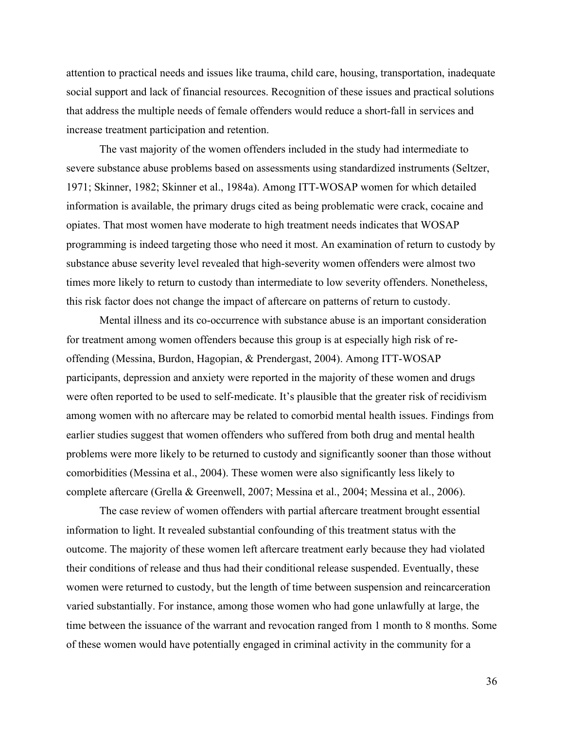attention to practical needs and issues like trauma, child care, housing, transportation, inadequate social support and lack of financial resources. Recognition of these issues and practical solutions that address the multiple needs of female offenders would reduce a short-fall in services and increase treatment participation and retention.

The vast majority of the women offenders included in the study had intermediate to severe substance abuse problems based on assessments using standardized instruments (Seltzer, 1971; Skinner, 1982; Skinner et al., 1984a). Among ITT-WOSAP women for which detailed information is available, the primary drugs cited as being problematic were crack, cocaine and opiates. That most women have moderate to high treatment needs indicates that WOSAP programming is indeed targeting those who need it most. An examination of return to custody by substance abuse severity level revealed that high-severity women offenders were almost two times more likely to return to custody than intermediate to low severity offenders. Nonetheless, this risk factor does not change the impact of aftercare on patterns of return to custody.

Mental illness and its co-occurrence with substance abuse is an important consideration for treatment among women offenders because this group is at especially high risk of reoffending (Messina, Burdon, Hagopian, & Prendergast, 2004). Among ITT-WOSAP participants, depression and anxiety were reported in the majority of these women and drugs were often reported to be used to self-medicate. It's plausible that the greater risk of recidivism among women with no aftercare may be related to comorbid mental health issues. Findings from earlier studies suggest that women offenders who suffered from both drug and mental health problems were more likely to be returned to custody and significantly sooner than those without comorbidities (Messina et al., 2004). These women were also significantly less likely to complete aftercare (Grella & Greenwell, 2007; Messina et al., 2004; Messina et al., 2006).

The case review of women offenders with partial aftercare treatment brought essential information to light. It revealed substantial confounding of this treatment status with the outcome. The majority of these women left aftercare treatment early because they had violated their conditions of release and thus had their conditional release suspended. Eventually, these women were returned to custody, but the length of time between suspension and reincarceration varied substantially. For instance, among those women who had gone unlawfully at large, the time between the issuance of the warrant and revocation ranged from 1 month to 8 months. Some of these women would have potentially engaged in criminal activity in the community for a

36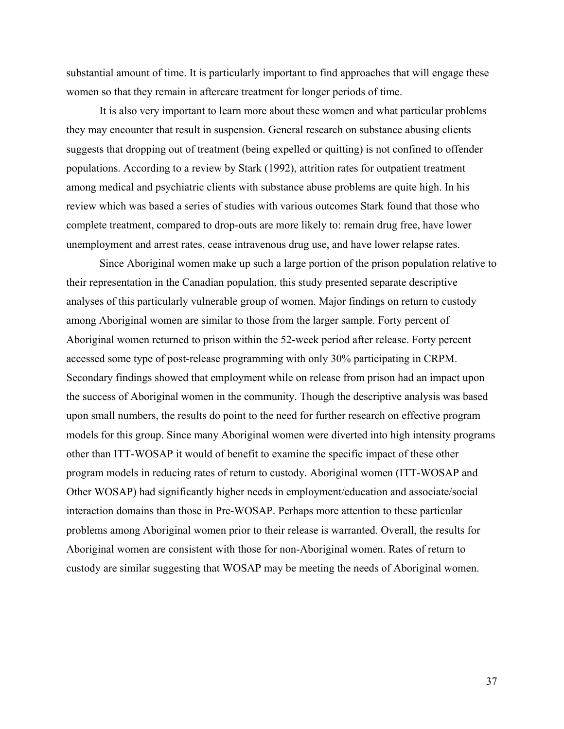substantial amount of time. It is particularly important to find approaches that will engage these women so that they remain in aftercare treatment for longer periods of time.

It is also very important to learn more about these women and what particular problems they may encounter that result in suspension. General research on substance abusing clients suggests that dropping out of treatment (being expelled or quitting) is not confined to offender populations. According to a review by Stark (1992), attrition rates for outpatient treatment among medical and psychiatric clients with substance abuse problems are quite high. In his review which was based a series of studies with various outcomes Stark found that those who complete treatment, compared to drop-outs are more likely to: remain drug free, have lower unemployment and arrest rates, cease intravenous drug use, and have lower relapse rates.

Since Aboriginal women make up such a large portion of the prison population relative to their representation in the Canadian population, this study presented separate descriptive analyses of this particularly vulnerable group of women. Major findings on return to custody among Aboriginal women are similar to those from the larger sample. Forty percent of Aboriginal women returned to prison within the 52-week period after release. Forty percent accessed some type of post-release programming with only 30% participating in CRPM. Secondary findings showed that employment while on release from prison had an impact upon the success of Aboriginal women in the community. Though the descriptive analysis was based upon small numbers, the results do point to the need for further research on effective program models for this group. Since many Aboriginal women were diverted into high intensity programs other than ITT-WOSAP it would of benefit to examine the specific impact of these other program models in reducing rates of return to custody. Aboriginal women (ITT-WOSAP and Other WOSAP) had significantly higher needs in employment/education and associate/social interaction domains than those in Pre-WOSAP. Perhaps more attention to these particular problems among Aboriginal women prior to their release is warranted. Overall, the results for Aboriginal women are consistent with those for non-Aboriginal women. Rates of return to custody are similar suggesting that WOSAP may be meeting the needs of Aboriginal women.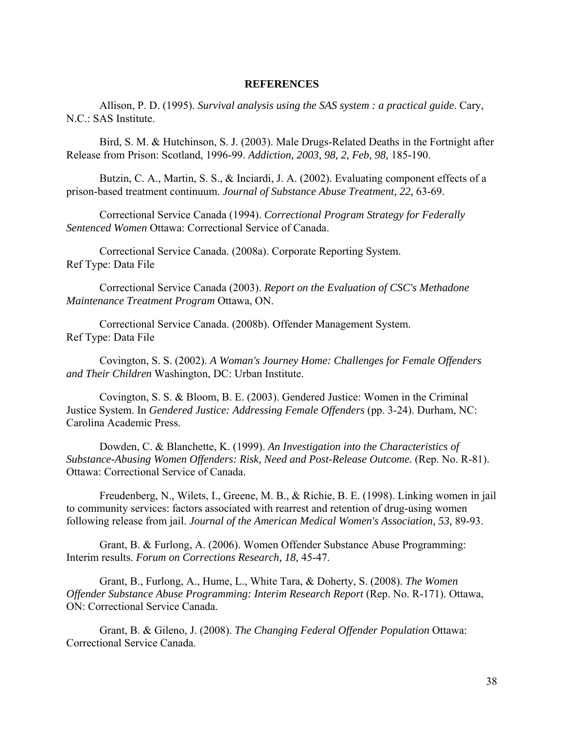## **REFERENCES**

Allison, P. D. (1995). *Survival analysis using the SAS system : a practical guide*. Cary, N.C.: SAS Institute.

Bird, S. M. & Hutchinson, S. J. (2003). Male Drugs-Related Deaths in the Fortnight after Release from Prison: Scotland, 1996-99. *Addiction, 2003, 98, 2, Feb, 98,* 185-190.

Butzin, C. A., Martin, S. S., & Inciardi, J. A. (2002). Evaluating component effects of a prison-based treatment continuum. *Journal of Substance Abuse Treatment, 22,* 63-69.

Correctional Service Canada (1994). *Correctional Program Strategy for Federally Sentenced Women* Ottawa: Correctional Service of Canada.

Correctional Service Canada. (2008a). Corporate Reporting System. Ref Type: Data File

Correctional Service Canada (2003). *Report on the Evaluation of CSC's Methadone Maintenance Treatment Program* Ottawa, ON.

Correctional Service Canada. (2008b). Offender Management System. Ref Type: Data File

Covington, S. S. (2002). *A Woman's Journey Home: Challenges for Female Offenders and Their Children* Washington, DC: Urban Institute.

Covington, S. S. & Bloom, B. E. (2003). Gendered Justice: Women in the Criminal Justice System. In *Gendered Justice: Addressing Female Offenders* (pp. 3-24). Durham, NC: Carolina Academic Press.

Dowden, C. & Blanchette, K. (1999). *An Investigation into the Characteristics of Substance-Abusing Women Offenders: Risk, Need and Post-Release Outcome.* (Rep. No. R-81). Ottawa: Correctional Service of Canada.

Freudenberg, N., Wilets, I., Greene, M. B., & Richie, B. E. (1998). Linking women in jail to community services: factors associated with rearrest and retention of drug-using women following release from jail. *Journal of the American Medical Women's Association, 53,* 89-93.

Grant, B. & Furlong, A. (2006). Women Offender Substance Abuse Programming: Interim results. *Forum on Corrections Research, 18,* 45-47.

Grant, B., Furlong, A., Hume, L., White Tara, & Doherty, S. (2008). *The Women Offender Substance Abuse Programming: Interim Research Report* (Rep. No. R-171). Ottawa, ON: Correctional Service Canada.

Grant, B. & Gileno, J. (2008). *The Changing Federal Offender Population* Ottawa: Correctional Service Canada.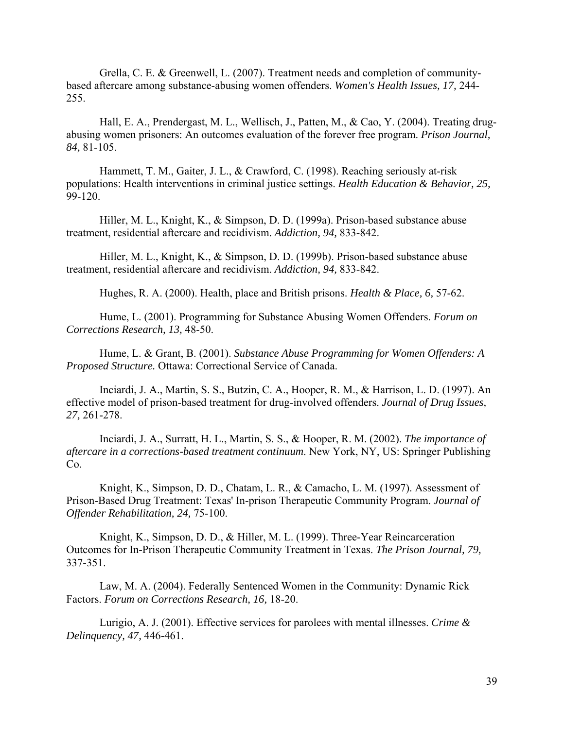Grella, C. E. & Greenwell, L. (2007). Treatment needs and completion of communitybased aftercare among substance-abusing women offenders. *Women's Health Issues, 17,* 244- 255.

Hall, E. A., Prendergast, M. L., Wellisch, J., Patten, M., & Cao, Y. (2004). Treating drugabusing women prisoners: An outcomes evaluation of the forever free program. *Prison Journal, 84,* 81-105.

Hammett, T. M., Gaiter, J. L., & Crawford, C. (1998). Reaching seriously at-risk populations: Health interventions in criminal justice settings. *Health Education & Behavior, 25,* 99-120.

Hiller, M. L., Knight, K., & Simpson, D. D. (1999a). Prison-based substance abuse treatment, residential aftercare and recidivism. *Addiction, 94,* 833-842.

Hiller, M. L., Knight, K., & Simpson, D. D. (1999b). Prison-based substance abuse treatment, residential aftercare and recidivism. *Addiction, 94,* 833-842.

Hughes, R. A. (2000). Health, place and British prisons. *Health & Place, 6,* 57-62.

Hume, L. (2001). Programming for Substance Abusing Women Offenders. *Forum on Corrections Research, 13,* 48-50.

Hume, L. & Grant, B. (2001). *Substance Abuse Programming for Women Offenders: A Proposed Structure.* Ottawa: Correctional Service of Canada.

Inciardi, J. A., Martin, S. S., Butzin, C. A., Hooper, R. M., & Harrison, L. D. (1997). An effective model of prison-based treatment for drug-involved offenders. *Journal of Drug Issues, 27,* 261-278.

Inciardi, J. A., Surratt, H. L., Martin, S. S., & Hooper, R. M. (2002). *The importance of aftercare in a corrections-based treatment continuum*. New York, NY, US: Springer Publishing Co.

Knight, K., Simpson, D. D., Chatam, L. R., & Camacho, L. M. (1997). Assessment of Prison-Based Drug Treatment: Texas' In-prison Therapeutic Community Program. *Journal of Offender Rehabilitation, 24,* 75-100.

Knight, K., Simpson, D. D., & Hiller, M. L. (1999). Three-Year Reincarceration Outcomes for In-Prison Therapeutic Community Treatment in Texas. *The Prison Journal, 79,* 337-351.

Law, M. A. (2004). Federally Sentenced Women in the Community: Dynamic Rick Factors. *Forum on Corrections Research, 16,* 18-20.

Lurigio, A. J. (2001). Effective services for parolees with mental illnesses. *Crime & Delinquency, 47,* 446-461.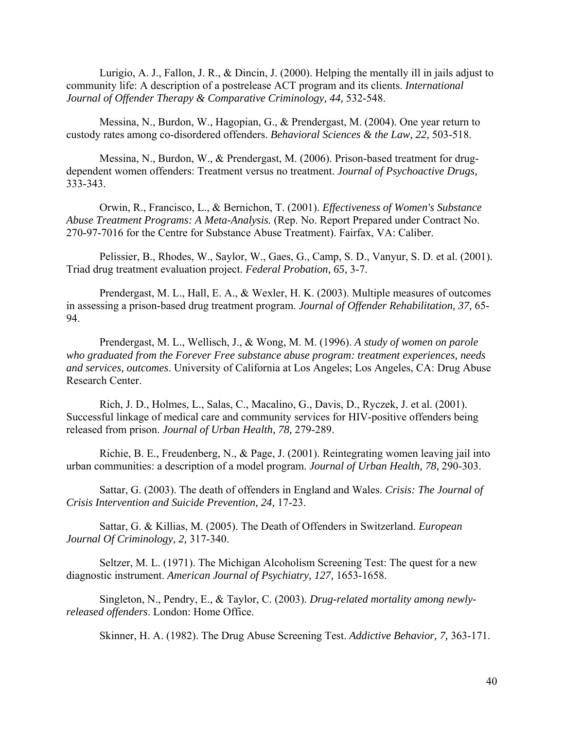Lurigio, A. J., Fallon, J. R., & Dincin, J. (2000). Helping the mentally ill in jails adjust to community life: A description of a postrelease ACT program and its clients. *International Journal of Offender Therapy & Comparative Criminology, 44,* 532-548.

Messina, N., Burdon, W., Hagopian, G., & Prendergast, M. (2004). One year return to custody rates among co-disordered offenders. *Behavioral Sciences & the Law, 22,* 503-518.

Messina, N., Burdon, W., & Prendergast, M. (2006). Prison-based treatment for drugdependent women offenders: Treatment versus no treatment. *Journal of Psychoactive Drugs,* 333-343.

Orwin, R., Francisco, L., & Bernichon, T. (2001). *Effectiveness of Women's Substance Abuse Treatment Programs: A Meta-Analysis.* (Rep. No. Report Prepared under Contract No. 270-97-7016 for the Centre for Substance Abuse Treatment). Fairfax, VA: Caliber.

Pelissier, B., Rhodes, W., Saylor, W., Gaes, G., Camp, S. D., Vanyur, S. D. et al. (2001). Triad drug treatment evaluation project. *Federal Probation, 65,* 3-7.

Prendergast, M. L., Hall, E. A., & Wexler, H. K. (2003). Multiple measures of outcomes in assessing a prison-based drug treatment program. *Journal of Offender Rehabilitation, 37,* 65- 94.

Prendergast, M. L., Wellisch, J., & Wong, M. M. (1996). *A study of women on parole who graduated from the Forever Free substance abuse program: treatment experiences, needs and services, outcomes*. University of California at Los Angeles; Los Angeles, CA: Drug Abuse Research Center.

Rich, J. D., Holmes, L., Salas, C., Macalino, G., Davis, D., Ryczek, J. et al. (2001). Successful linkage of medical care and community services for HIV-positive offenders being released from prison. *Journal of Urban Health, 78,* 279-289.

Richie, B. E., Freudenberg, N., & Page, J. (2001). Reintegrating women leaving jail into urban communities: a description of a model program. *Journal of Urban Health, 78,* 290-303.

Sattar, G. (2003). The death of offenders in England and Wales. *Crisis: The Journal of Crisis Intervention and Suicide Prevention, 24,* 17-23.

Sattar, G. & Killias, M. (2005). The Death of Offenders in Switzerland. *European Journal Of Criminology, 2,* 317-340.

Seltzer, M. L. (1971). The Michigan Alcoholism Screening Test: The quest for a new diagnostic instrument. *American Journal of Psychiatry, 127,* 1653-1658.

Singleton, N., Pendry, E., & Taylor, C. (2003). *Drug-related mortality among newlyreleased offenders*. London: Home Office.

Skinner, H. A. (1982). The Drug Abuse Screening Test. *Addictive Behavior, 7,* 363-171.